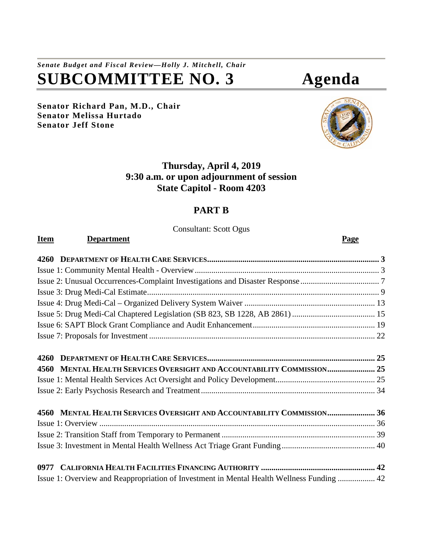# *Senate Budget and Fiscal Review—Holly J. Mitchell, Chair* **SUBCOMMITTEE NO. 3 Agenda**

**Senator Richard Pan, M.D., Chair Senator Melissa Hurtado Senator Jeff Stone**



# **Thursday, April 4, 2019 9:30 a.m. or upon adjournment of session State Capitol - Room 4203**

# **PART B**

Consultant: Scott Ogus

| <b>Item</b> | <b>Department</b>                                                                         | <b>Page</b> |
|-------------|-------------------------------------------------------------------------------------------|-------------|
|             |                                                                                           |             |
|             |                                                                                           |             |
|             |                                                                                           |             |
|             |                                                                                           |             |
|             |                                                                                           |             |
|             |                                                                                           |             |
|             |                                                                                           |             |
|             |                                                                                           |             |
|             |                                                                                           |             |
| 4560        | MENTAL HEALTH SERVICES OVERSIGHT AND ACCOUNTABILITY COMMISSION 25                         |             |
|             |                                                                                           |             |
|             |                                                                                           |             |
|             | 4560 MENTAL HEALTH SERVICES OVERSIGHT AND ACCOUNTABILITY COMMISSION 36                    |             |
|             |                                                                                           |             |
|             |                                                                                           |             |
|             |                                                                                           |             |
|             |                                                                                           |             |
|             | Issue 1: Overview and Reappropriation of Investment in Mental Health Wellness Funding  42 |             |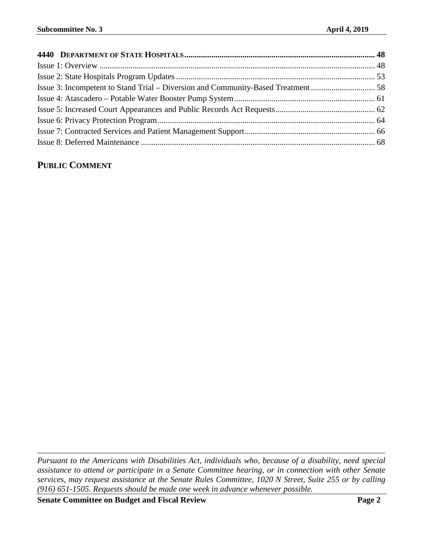# **PUBLIC COMMENT**

*Pursuant to the Americans with Disabilities Act, individuals who, because of a disability, need special assistance to attend or participate in a Senate Committee hearing, or in connection with other Senate services, may request assistance at the Senate Rules Committee, 1020 N Street, Suite 255 or by calling (916) 651-1505. Requests should be made one week in advance whenever possible.*

**Senate Committee on Budget and Fiscal Review Page 2**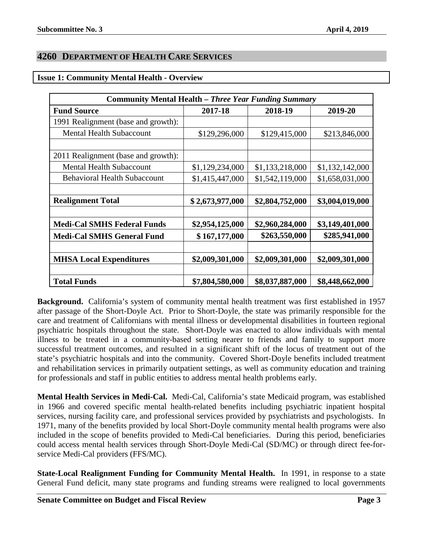# <span id="page-2-0"></span>**4260 DEPARTMENT OF HEALTH CARE SERVICES**

#### <span id="page-2-1"></span>**Issue 1: Community Mental Health - Overview**

| <b>Community Mental Health – Three Year Funding Summary</b> |                 |                 |                 |  |  |
|-------------------------------------------------------------|-----------------|-----------------|-----------------|--|--|
| <b>Fund Source</b>                                          | 2017-18         | 2018-19         | 2019-20         |  |  |
| 1991 Realignment (base and growth):                         |                 |                 |                 |  |  |
| <b>Mental Health Subaccount</b>                             | \$129,296,000   | \$129,415,000   | \$213,846,000   |  |  |
|                                                             |                 |                 |                 |  |  |
| 2011 Realignment (base and growth):                         |                 |                 |                 |  |  |
| <b>Mental Health Subaccount</b>                             | \$1,129,234,000 | \$1,133,218,000 | \$1,132,142,000 |  |  |
| <b>Behavioral Health Subaccount</b>                         | \$1,415,447,000 | \$1,542,119,000 | \$1,658,031,000 |  |  |
|                                                             |                 |                 |                 |  |  |
| <b>Realignment Total</b>                                    | \$2,673,977,000 | \$2,804,752,000 | \$3,004,019,000 |  |  |
|                                                             |                 |                 |                 |  |  |
| <b>Medi-Cal SMHS Federal Funds</b>                          | \$2,954,125,000 | \$2,960,284,000 | \$3,149,401,000 |  |  |
| <b>Medi-Cal SMHS General Fund</b>                           | \$167,177,000   | \$263,550,000   | \$285,941,000   |  |  |
|                                                             |                 |                 |                 |  |  |
| <b>MHSA Local Expenditures</b>                              | \$2,009,301,000 | \$2,009,301,000 | \$2,009,301,000 |  |  |
|                                                             |                 |                 |                 |  |  |
| <b>Total Funds</b>                                          | \$7,804,580,000 | \$8,037,887,000 | \$8,448,662,000 |  |  |

**Background.** California's system of community mental health treatment was first established in 1957 after passage of the Short-Doyle Act. Prior to Short-Doyle, the state was primarily responsible for the care and treatment of Californians with mental illness or developmental disabilities in fourteen regional psychiatric hospitals throughout the state. Short-Doyle was enacted to allow individuals with mental illness to be treated in a community-based setting nearer to friends and family to support more successful treatment outcomes, and resulted in a significant shift of the locus of treatment out of the state's psychiatric hospitals and into the community. Covered Short-Doyle benefits included treatment and rehabilitation services in primarily outpatient settings, as well as community education and training for professionals and staff in public entities to address mental health problems early.

**Mental Health Services in Medi-Cal.** Medi-Cal, California's state Medicaid program, was established in 1966 and covered specific mental health-related benefits including psychiatric inpatient hospital services, nursing facility care, and professional services provided by psychiatrists and psychologists. In 1971, many of the benefits provided by local Short-Doyle community mental health programs were also included in the scope of benefits provided to Medi-Cal beneficiaries. During this period, beneficiaries could access mental health services through Short-Doyle Medi-Cal (SD/MC) or through direct fee-forservice Medi-Cal providers (FFS/MC).

**State-Local Realignment Funding for Community Mental Health.** In 1991, in response to a state General Fund deficit, many state programs and funding streams were realigned to local governments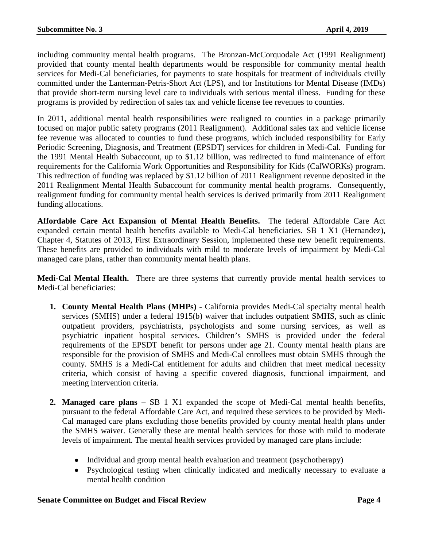including community mental health programs. The Bronzan-McCorquodale Act (1991 Realignment) provided that county mental health departments would be responsible for community mental health services for Medi-Cal beneficiaries, for payments to state hospitals for treatment of individuals civilly committed under the Lanterman-Petris-Short Act (LPS), and for Institutions for Mental Disease (IMDs) that provide short-term nursing level care to individuals with serious mental illness. Funding for these programs is provided by redirection of sales tax and vehicle license fee revenues to counties.

In 2011, additional mental health responsibilities were realigned to counties in a package primarily focused on major public safety programs (2011 Realignment). Additional sales tax and vehicle license fee revenue was allocated to counties to fund these programs, which included responsibility for Early Periodic Screening, Diagnosis, and Treatment (EPSDT) services for children in Medi-Cal. Funding for the 1991 Mental Health Subaccount, up to \$1.12 billion, was redirected to fund maintenance of effort requirements for the California Work Opportunities and Responsibility for Kids (CalWORKs) program. This redirection of funding was replaced by \$1.12 billion of 2011 Realignment revenue deposited in the 2011 Realignment Mental Health Subaccount for community mental health programs. Consequently, realignment funding for community mental health services is derived primarily from 2011 Realignment funding allocations.

**Affordable Care Act Expansion of Mental Health Benefits.** The federal Affordable Care Act expanded certain mental health benefits available to Medi-Cal beneficiaries. SB 1 X1 (Hernandez), Chapter 4, Statutes of 2013, First Extraordinary Session, implemented these new benefit requirements. These benefits are provided to individuals with mild to moderate levels of impairment by Medi-Cal managed care plans, rather than community mental health plans.

**Medi-Cal Mental Health.** There are three systems that currently provide mental health services to Medi-Cal beneficiaries:

- **1. County Mental Health Plans (MHPs) -** California provides Medi-Cal specialty mental health services (SMHS) under a federal 1915(b) waiver that includes outpatient SMHS, such as clinic outpatient providers, psychiatrists, psychologists and some nursing services, as well as psychiatric inpatient hospital services. Children's SMHS is provided under the federal requirements of the EPSDT benefit for persons under age 21. County mental health plans are responsible for the provision of SMHS and Medi-Cal enrollees must obtain SMHS through the county. SMHS is a Medi-Cal entitlement for adults and children that meet medical necessity criteria, which consist of having a specific covered diagnosis, functional impairment, and meeting intervention criteria.
- **2. Managed care plans –** SB 1 X1 expanded the scope of Medi-Cal mental health benefits, pursuant to the federal Affordable Care Act, and required these services to be provided by Medi-Cal managed care plans excluding those benefits provided by county mental health plans under the SMHS waiver. Generally these are mental health services for those with mild to moderate levels of impairment. The mental health services provided by managed care plans include:
	- Individual and group mental health evaluation and treatment (psychotherapy)
	- Psychological testing when clinically indicated and medically necessary to evaluate a mental health condition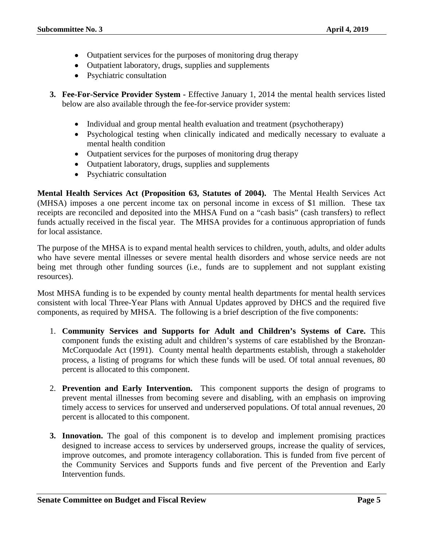- Outpatient services for the purposes of monitoring drug therapy
- Outpatient laboratory, drugs, supplies and supplements
- Psychiatric consultation
- **3. Fee-For-Service Provider System -** Effective January 1, 2014 the mental health services listed below are also available through the fee-for-service provider system:
	- Individual and group mental health evaluation and treatment (psychotherapy)
	- Psychological testing when clinically indicated and medically necessary to evaluate a mental health condition
	- Outpatient services for the purposes of monitoring drug therapy
	- Outpatient laboratory, drugs, supplies and supplements
	- Psychiatric consultation

**Mental Health Services Act (Proposition 63, Statutes of 2004).** The Mental Health Services Act (MHSA) imposes a one percent income tax on personal income in excess of \$1 million. These tax receipts are reconciled and deposited into the MHSA Fund on a "cash basis" (cash transfers) to reflect funds actually received in the fiscal year. The MHSA provides for a continuous appropriation of funds for local assistance.

The purpose of the MHSA is to expand mental health services to children, youth, adults, and older adults who have severe mental illnesses or severe mental health disorders and whose service needs are not being met through other funding sources (i.e., funds are to supplement and not supplant existing resources).

Most MHSA funding is to be expended by county mental health departments for mental health services consistent with local Three-Year Plans with Annual Updates approved by DHCS and the required five components, as required by MHSA. The following is a brief description of the five components:

- 1. **Community Services and Supports for Adult and Children's Systems of Care.** This component funds the existing adult and children's systems of care established by the Bronzan-McCorquodale Act (1991). County mental health departments establish, through a stakeholder process, a listing of programs for which these funds will be used. Of total annual revenues, 80 percent is allocated to this component.
- 2. **Prevention and Early Intervention.** This component supports the design of programs to prevent mental illnesses from becoming severe and disabling, with an emphasis on improving timely access to services for unserved and underserved populations. Of total annual revenues, 20 percent is allocated to this component.
- **3. Innovation.** The goal of this component is to develop and implement promising practices designed to increase access to services by underserved groups, increase the quality of services, improve outcomes, and promote interagency collaboration. This is funded from five percent of the Community Services and Supports funds and five percent of the Prevention and Early Intervention funds.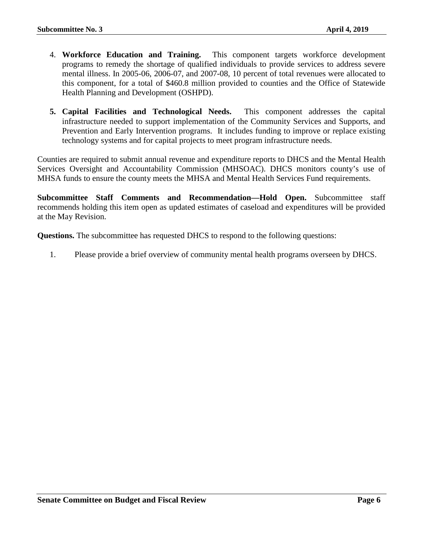- 4. **Workforce Education and Training.** This component targets workforce development programs to remedy the shortage of qualified individuals to provide services to address severe mental illness. In 2005-06, 2006-07, and 2007-08, 10 percent of total revenues were allocated to this component, for a total of \$460.8 million provided to counties and the Office of Statewide Health Planning and Development (OSHPD).
- **5. Capital Facilities and Technological Needs.** This component addresses the capital infrastructure needed to support implementation of the Community Services and Supports, and Prevention and Early Intervention programs. It includes funding to improve or replace existing technology systems and for capital projects to meet program infrastructure needs.

Counties are required to submit annual revenue and expenditure reports to DHCS and the Mental Health Services Oversight and Accountability Commission (MHSOAC). DHCS monitors county's use of MHSA funds to ensure the county meets the MHSA and Mental Health Services Fund requirements.

**Subcommittee Staff Comments and Recommendation—Hold Open.** Subcommittee staff recommends holding this item open as updated estimates of caseload and expenditures will be provided at the May Revision.

**Questions.** The subcommittee has requested DHCS to respond to the following questions:

1. Please provide a brief overview of community mental health programs overseen by DHCS.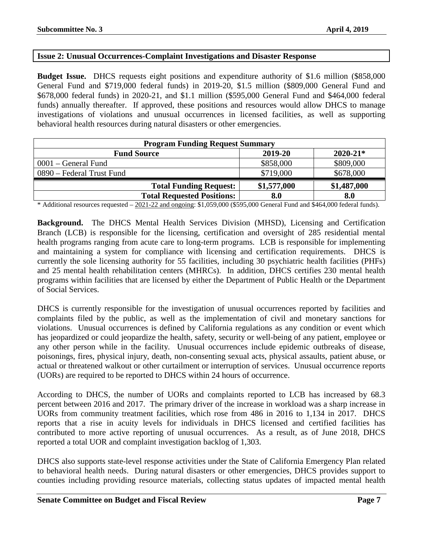# <span id="page-6-0"></span>**Issue 2: Unusual Occurrences-Complaint Investigations and Disaster Response**

**Budget Issue.** DHCS requests eight positions and expenditure authority of \$1.6 million (\$858,000 General Fund and \$719,000 federal funds) in 2019-20, \$1.5 million (\$809,000 General Fund and \$678,000 federal funds) in 2020-21, and \$1.1 million (\$595,000 General Fund and \$464,000 federal funds) annually thereafter. If approved, these positions and resources would allow DHCS to manage investigations of violations and unusual occurrences in licensed facilities, as well as supporting behavioral health resources during natural disasters or other emergencies.

| <b>Program Funding Request Summary</b>        |             |             |  |  |  |
|-----------------------------------------------|-------------|-------------|--|--|--|
| $2020 - 21*$<br>2019-20<br><b>Fund Source</b> |             |             |  |  |  |
| $0001$ – General Fund                         | \$858,000   | \$809,000   |  |  |  |
| 0890 – Federal Trust Fund                     | \$719,000   | \$678,000   |  |  |  |
| <b>Total Funding Request:</b>                 | \$1,577,000 | \$1,487,000 |  |  |  |
| <b>Total Requested Positions:</b>             | 8.0         | 8.0         |  |  |  |

\* Additional resources requested – 2021-22 and ongoing: \$1,059,000 (\$595,000 General Fund and \$464,000 federal funds).

**Background.** The DHCS Mental Health Services Division (MHSD), Licensing and Certification Branch (LCB) is responsible for the licensing, certification and oversight of 285 residential mental health programs ranging from acute care to long-term programs. LCB is responsible for implementing and maintaining a system for compliance with licensing and certification requirements. DHCS is currently the sole licensing authority for 55 facilities, including 30 psychiatric health facilities (PHFs) and 25 mental health rehabilitation centers (MHRCs). In addition, DHCS certifies 230 mental health programs within facilities that are licensed by either the Department of Public Health or the Department of Social Services.

DHCS is currently responsible for the investigation of unusual occurrences reported by facilities and complaints filed by the public, as well as the implementation of civil and monetary sanctions for violations. Unusual occurrences is defined by California regulations as any condition or event which has jeopardized or could jeopardize the health, safety, security or well-being of any patient, employee or any other person while in the facility. Unusual occurrences include epidemic outbreaks of disease, poisonings, fires, physical injury, death, non-consenting sexual acts, physical assaults, patient abuse, or actual or threatened walkout or other curtailment or interruption of services. Unusual occurrence reports (UORs) are required to be reported to DHCS within 24 hours of occurrence.

According to DHCS, the number of UORs and complaints reported to LCB has increased by 68.3 percent between 2016 and 2017. The primary driver of the increase in workload was a sharp increase in UORs from community treatment facilities, which rose from 486 in 2016 to 1,134 in 2017. DHCS reports that a rise in acuity levels for individuals in DHCS licensed and certified facilities has contributed to more active reporting of unusual occurrences. As a result, as of June 2018, DHCS reported a total UOR and complaint investigation backlog of 1,303.

DHCS also supports state-level response activities under the State of California Emergency Plan related to behavioral health needs. During natural disasters or other emergencies, DHCS provides support to counties including providing resource materials, collecting status updates of impacted mental health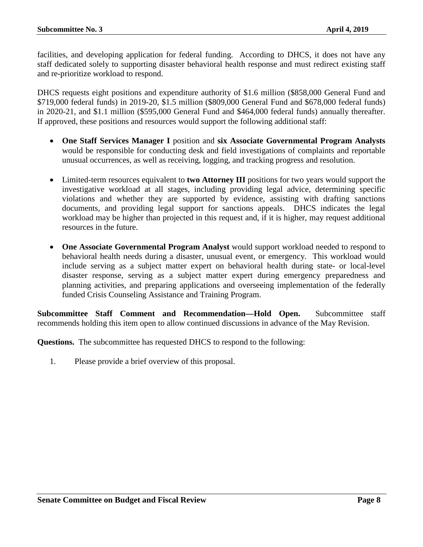facilities, and developing application for federal funding. According to DHCS, it does not have any staff dedicated solely to supporting disaster behavioral health response and must redirect existing staff and re-prioritize workload to respond.

DHCS requests eight positions and expenditure authority of \$1.6 million (\$858,000 General Fund and \$719,000 federal funds) in 2019-20, \$1.5 million (\$809,000 General Fund and \$678,000 federal funds) in 2020-21, and \$1.1 million (\$595,000 General Fund and \$464,000 federal funds) annually thereafter. If approved, these positions and resources would support the following additional staff:

- **One Staff Services Manager I** position and **six Associate Governmental Program Analysts** would be responsible for conducting desk and field investigations of complaints and reportable unusual occurrences, as well as receiving, logging, and tracking progress and resolution.
- Limited-term resources equivalent to **two Attorney III** positions for two years would support the investigative workload at all stages, including providing legal advice, determining specific violations and whether they are supported by evidence, assisting with drafting sanctions documents, and providing legal support for sanctions appeals. DHCS indicates the legal workload may be higher than projected in this request and, if it is higher, may request additional resources in the future.
- **One Associate Governmental Program Analyst** would support workload needed to respond to behavioral health needs during a disaster, unusual event, or emergency. This workload would include serving as a subject matter expert on behavioral health during state- or local-level disaster response, serving as a subject matter expert during emergency preparedness and planning activities, and preparing applications and overseeing implementation of the federally funded Crisis Counseling Assistance and Training Program.

**Subcommittee Staff Comment and Recommendation—Hold Open.** Subcommittee staff recommends holding this item open to allow continued discussions in advance of the May Revision.

**Questions.** The subcommittee has requested DHCS to respond to the following:

1. Please provide a brief overview of this proposal.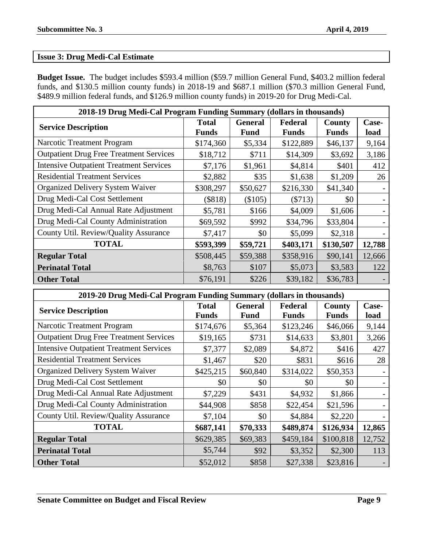# <span id="page-8-0"></span>**Issue 3: Drug Medi-Cal Estimate**

**Budget Issue.** The budget includes \$593.4 million (\$59.7 million General Fund, \$403.2 million federal funds, and \$130.5 million county funds) in 2018-19 and \$687.1 million (\$70.3 million General Fund, \$489.9 million federal funds, and \$126.9 million county funds) in 2019-20 for Drug Medi-Cal.

| 2018-19 Drug Medi-Cal Program Funding Summary (dollars in thousands) |                              |                               |                         |                 |               |  |  |
|----------------------------------------------------------------------|------------------------------|-------------------------------|-------------------------|-----------------|---------------|--|--|
| <b>Service Description</b>                                           | <b>Total</b><br><b>Funds</b> | <b>General</b><br><b>Fund</b> | Federal<br><b>Funds</b> | County<br>Funds | Case-<br>load |  |  |
| Narcotic Treatment Program                                           | \$174,360                    | \$5,334                       | \$122,889               | \$46,137        | 9,164         |  |  |
| <b>Outpatient Drug Free Treatment Services</b>                       | \$18,712                     | \$711                         | \$14,309                | \$3,692         | 3,186         |  |  |
| <b>Intensive Outpatient Treatment Services</b>                       | \$7,176                      | \$1,961                       | \$4,814                 | \$401           | 412           |  |  |
| <b>Residential Treatment Services</b>                                | \$2,882                      | \$35                          | \$1,638                 | \$1,209         | 26            |  |  |
| <b>Organized Delivery System Waiver</b>                              | \$308,297                    | \$50,627                      | \$216,330               | \$41,340        |               |  |  |
| Drug Medi-Cal Cost Settlement                                        | (\$818)                      | (\$105)                       | ( \$713)                | \$0             |               |  |  |
| Drug Medi-Cal Annual Rate Adjustment                                 | \$5,781                      | \$166                         | \$4,009                 | \$1,606         |               |  |  |
| Drug Medi-Cal County Administration                                  | \$69,592                     | \$992                         | \$34,796                | \$33,804        |               |  |  |
| County Util. Review/Quality Assurance                                | \$7,417                      | \$0                           | \$5,099                 | \$2,318         |               |  |  |
| <b>TOTAL</b>                                                         | \$593,399                    | \$59,721                      | \$403,171               | \$130,507       | 12,788        |  |  |
| <b>Regular Total</b>                                                 | \$508,445                    | \$59,388                      | \$358,916               | \$90,141        | 12,666        |  |  |
| <b>Perinatal Total</b>                                               | \$8,763                      | \$107                         | \$5,073                 | \$3,583         | 122           |  |  |
| <b>Other Total</b>                                                   | \$76,191                     | \$226                         | \$39,182                | \$36,783        |               |  |  |

| 2019-20 Drug Medi-Cal Program Funding Summary (dollars in thousands) |                              |                               |                         |                        |               |  |  |
|----------------------------------------------------------------------|------------------------------|-------------------------------|-------------------------|------------------------|---------------|--|--|
| <b>Service Description</b>                                           | <b>Total</b><br><b>Funds</b> | <b>General</b><br><b>Fund</b> | Federal<br><b>Funds</b> | County<br><b>Funds</b> | Case-<br>load |  |  |
| <b>Narcotic Treatment Program</b>                                    | \$174,676                    | \$5,364                       | \$123,246               | \$46,066               | 9,144         |  |  |
| <b>Outpatient Drug Free Treatment Services</b>                       | \$19,165                     | \$731                         | \$14,633                | \$3,801                | 3,266         |  |  |
| <b>Intensive Outpatient Treatment Services</b>                       | \$7,377                      | \$2,089                       | \$4,872                 | \$416                  | 427           |  |  |
| <b>Residential Treatment Services</b>                                | \$1,467                      | \$20                          | \$831                   | \$616                  | 28            |  |  |
| <b>Organized Delivery System Waiver</b>                              | \$425,215                    | \$60,840                      | \$314,022               | \$50,353               |               |  |  |
| Drug Medi-Cal Cost Settlement                                        | \$0                          | \$0                           | \$0                     | \$0                    |               |  |  |
| Drug Medi-Cal Annual Rate Adjustment                                 | \$7,229                      | \$431                         | \$4,932                 | \$1,866                |               |  |  |
| Drug Medi-Cal County Administration                                  | \$44,908                     | \$858                         | \$22,454                | \$21,596               |               |  |  |
| County Util. Review/Quality Assurance                                | \$7,104                      | \$0                           | \$4,884                 | \$2,220                |               |  |  |
| <b>TOTAL</b>                                                         | \$687,141                    | \$70,333                      | \$489,874               | \$126,934              | 12,865        |  |  |
| <b>Regular Total</b>                                                 | \$629,385                    | \$69,383                      | \$459,184               | \$100,818              | 12,752        |  |  |
| <b>Perinatal Total</b>                                               | \$5,744                      | \$92                          | \$3,352                 | \$2,300                | 113           |  |  |
| <b>Other Total</b>                                                   | \$52,012                     | \$858                         | \$27,338                | \$23,816               |               |  |  |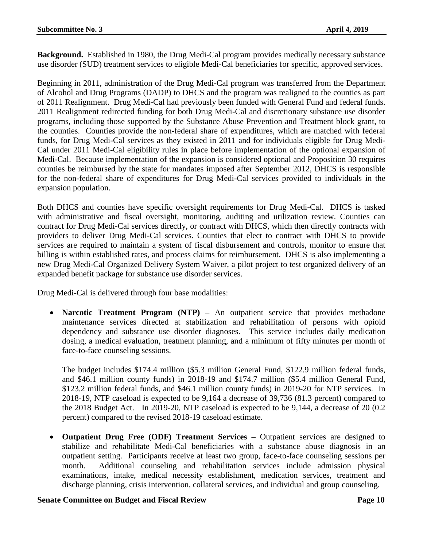**Background.** Established in 1980, the Drug Medi-Cal program provides medically necessary substance use disorder (SUD) treatment services to eligible Medi-Cal beneficiaries for specific, approved services.

Beginning in 2011, administration of the Drug Medi-Cal program was transferred from the Department of Alcohol and Drug Programs (DADP) to DHCS and the program was realigned to the counties as part of 2011 Realignment. Drug Medi-Cal had previously been funded with General Fund and federal funds. 2011 Realignment redirected funding for both Drug Medi-Cal and discretionary substance use disorder programs, including those supported by the Substance Abuse Prevention and Treatment block grant, to the counties. Counties provide the non-federal share of expenditures, which are matched with federal funds, for Drug Medi-Cal services as they existed in 2011 and for individuals eligible for Drug Medi-Cal under 2011 Medi-Cal eligibility rules in place before implementation of the optional expansion of Medi-Cal. Because implementation of the expansion is considered optional and Proposition 30 requires counties be reimbursed by the state for mandates imposed after September 2012, DHCS is responsible for the non-federal share of expenditures for Drug Medi-Cal services provided to individuals in the expansion population.

Both DHCS and counties have specific oversight requirements for Drug Medi-Cal. DHCS is tasked with administrative and fiscal oversight, monitoring, auditing and utilization review. Counties can contract for Drug Medi-Cal services directly, or contract with DHCS, which then directly contracts with providers to deliver Drug Medi-Cal services. Counties that elect to contract with DHCS to provide services are required to maintain a system of fiscal disbursement and controls, monitor to ensure that billing is within established rates, and process claims for reimbursement. DHCS is also implementing a new Drug Medi-Cal Organized Delivery System Waiver, a pilot project to test organized delivery of an expanded benefit package for substance use disorder services.

Drug Medi-Cal is delivered through four base modalities:

**Narcotic Treatment Program (NTP)** – An outpatient service that provides methadone maintenance services directed at stabilization and rehabilitation of persons with opioid dependency and substance use disorder diagnoses. This service includes daily medication dosing, a medical evaluation, treatment planning, and a minimum of fifty minutes per month of face-to-face counseling sessions.

The budget includes \$174.4 million (\$5.3 million General Fund, \$122.9 million federal funds, and \$46.1 million county funds) in 2018-19 and \$174.7 million (\$5.4 million General Fund, \$123.2 million federal funds, and \$46.1 million county funds) in 2019-20 for NTP services. In 2018-19, NTP caseload is expected to be 9,164 a decrease of 39,736 (81.3 percent) compared to the 2018 Budget Act. In 2019-20, NTP caseload is expected to be 9,144, a decrease of 20 (0.2 percent) compared to the revised 2018-19 caseload estimate.

• **Outpatient Drug Free (ODF) Treatment Services** – Outpatient services are designed to stabilize and rehabilitate Medi-Cal beneficiaries with a substance abuse diagnosis in an outpatient setting. Participants receive at least two group, face-to-face counseling sessions per month. Additional counseling and rehabilitation services include admission physical examinations, intake, medical necessity establishment, medication services, treatment and discharge planning, crisis intervention, collateral services, and individual and group counseling.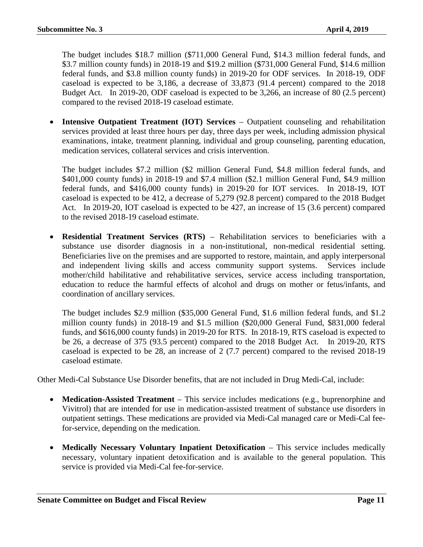The budget includes \$18.7 million (\$711,000 General Fund, \$14.3 million federal funds, and \$3.7 million county funds) in 2018-19 and \$19.2 million (\$731,000 General Fund, \$14.6 million federal funds, and \$3.8 million county funds) in 2019-20 for ODF services. In 2018-19, ODF caseload is expected to be 3,186, a decrease of 33,873 (91.4 percent) compared to the 2018 Budget Act. In 2019-20, ODF caseload is expected to be 3,266, an increase of 80 (2.5 percent) compared to the revised 2018-19 caseload estimate.

• **Intensive Outpatient Treatment (IOT) Services** – Outpatient counseling and rehabilitation services provided at least three hours per day, three days per week, including admission physical examinations, intake, treatment planning, individual and group counseling, parenting education, medication services, collateral services and crisis intervention.

The budget includes \$7.2 million (\$2 million General Fund, \$4.8 million federal funds, and \$401,000 county funds) in 2018-19 and \$7.4 million (\$2.1 million General Fund, \$4.9 million federal funds, and \$416,000 county funds) in 2019-20 for IOT services. In 2018-19, IOT caseload is expected to be 412, a decrease of 5,279 (92.8 percent) compared to the 2018 Budget Act. In 2019-20, IOT caseload is expected to be 427, an increase of 15 (3.6 percent) compared to the revised 2018-19 caseload estimate.

• **Residential Treatment Services (RTS)** – Rehabilitation services to beneficiaries with a substance use disorder diagnosis in a non-institutional, non-medical residential setting. Beneficiaries live on the premises and are supported to restore, maintain, and apply interpersonal and independent living skills and access community support systems. Services include mother/child habilitative and rehabilitative services, service access including transportation, education to reduce the harmful effects of alcohol and drugs on mother or fetus/infants, and coordination of ancillary services.

The budget includes \$2.9 million (\$35,000 General Fund, \$1.6 million federal funds, and \$1.2 million county funds) in 2018-19 and \$1.5 million (\$20,000 General Fund, \$831,000 federal funds, and \$616,000 county funds) in 2019-20 for RTS. In 2018-19, RTS caseload is expected to be 26, a decrease of 375 (93.5 percent) compared to the 2018 Budget Act. In 2019-20, RTS caseload is expected to be 28, an increase of 2 (7.7 percent) compared to the revised 2018-19 caseload estimate.

Other Medi-Cal Substance Use Disorder benefits, that are not included in Drug Medi-Cal, include:

- **Medication-Assisted Treatment** This service includes medications (e.g., buprenorphine and Vivitrol) that are intended for use in medication-assisted treatment of substance use disorders in outpatient settings. These medications are provided via Medi-Cal managed care or Medi-Cal feefor-service, depending on the medication.
- Medically Necessary Voluntary Inpatient Detoxification This service includes medically necessary, voluntary inpatient detoxification and is available to the general population. This service is provided via Medi-Cal fee-for-service.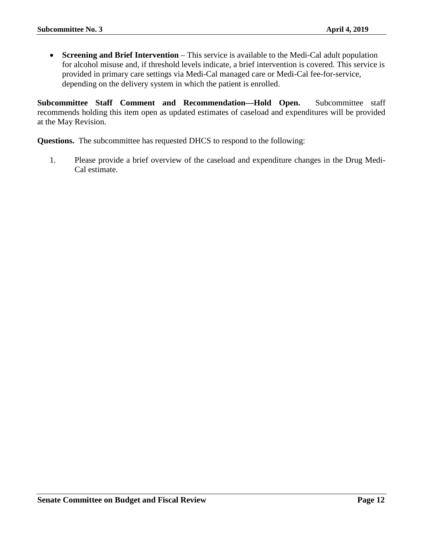• **Screening and Brief Intervention** – This service is available to the Medi-Cal adult population for alcohol misuse and, if threshold levels indicate, a brief intervention is covered. This service is provided in primary care settings via Medi-Cal managed care or Medi-Cal fee-for-service, depending on the delivery system in which the patient is enrolled.

**Subcommittee Staff Comment and Recommendation—Hold Open.** Subcommittee staff recommends holding this item open as updated estimates of caseload and expenditures will be provided at the May Revision.

**Questions.** The subcommittee has requested DHCS to respond to the following:

1. Please provide a brief overview of the caseload and expenditure changes in the Drug Medi-Cal estimate.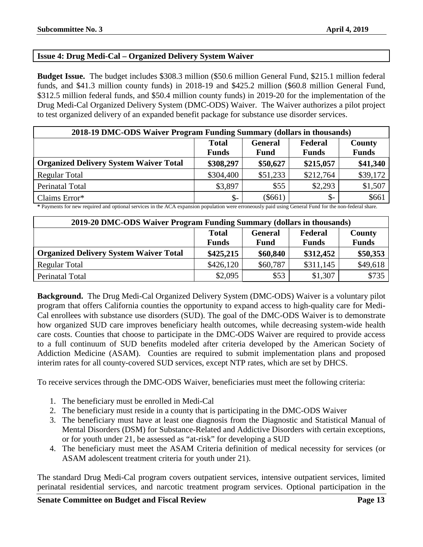# <span id="page-12-0"></span>**Issue 4: Drug Medi-Cal – Organized Delivery System Waiver**

**Budget Issue.** The budget includes \$308.3 million (\$50.6 million General Fund, \$215.1 million federal funds, and \$41.3 million county funds) in 2018-19 and \$425.2 million (\$60.8 million General Fund, \$312.5 million federal funds, and \$50.4 million county funds) in 2019-20 for the implementation of the Drug Medi-Cal Organized Delivery System (DMC-ODS) Waiver. The Waiver authorizes a pilot project to test organized delivery of an expanded benefit package for substance use disorder services.

| 2018-19 DMC-ODS Waiver Program Funding Summary (dollars in thousands) |                                           |             |                 |              |  |
|-----------------------------------------------------------------------|-------------------------------------------|-------------|-----------------|--------------|--|
|                                                                       | <b>Total</b><br>Federal<br><b>General</b> |             | County          |              |  |
|                                                                       | <b>Funds</b>                              | <b>Fund</b> | <b>Funds</b>    | <b>Funds</b> |  |
| <b>Organized Delivery System Waiver Total</b>                         | \$308,297                                 | \$50,627    | \$215,057       | \$41,340     |  |
| <b>Regular Total</b>                                                  | \$304,400                                 | \$51,233    | \$212,764       | \$39,172     |  |
| Perinatal Total                                                       | \$3,897                                   | \$55        | \$2,293         | \$1,507      |  |
| Claims Error*                                                         | $\mathcal{S}$ -                           | $(\$661)$   | $\mathcal{S}$ - | \$661        |  |

**\*** Payments for new required and optional services in the ACA expansion population were erroneously paid using General Fund for the non-federal share.

| 2019-20 DMC-ODS Waiver Program Funding Summary (dollars in thousands) |              |             |              |              |  |
|-----------------------------------------------------------------------|--------------|-------------|--------------|--------------|--|
| <b>Federal</b><br><b>Total</b><br><b>General</b>                      |              |             |              | County       |  |
|                                                                       | <b>Funds</b> | <b>Fund</b> | <b>Funds</b> | <b>Funds</b> |  |
| <b>Organized Delivery System Waiver Total</b>                         | \$425,215    | \$60,840    | \$312,452    | \$50,353     |  |
| <b>Regular Total</b>                                                  | \$426,120    | \$60,787    | \$311,145    | \$49,618     |  |
| Perinatal Total                                                       | \$2,095      | \$53        | \$1,307      | \$735        |  |

**Background.** The Drug Medi-Cal Organized Delivery System (DMC-ODS) Waiver is a voluntary pilot program that offers California counties the opportunity to expand access to high-quality care for Medi-Cal enrollees with substance use disorders (SUD). The goal of the DMC-ODS Waiver is to demonstrate how organized SUD care improves beneficiary health outcomes, while decreasing system-wide health care costs. Counties that choose to participate in the DMC-ODS Waiver are required to provide access to a full continuum of SUD benefits modeled after criteria developed by the American Society of Addiction Medicine (ASAM). Counties are required to submit implementation plans and proposed interim rates for all county-covered SUD services, except NTP rates, which are set by DHCS.

To receive services through the DMC-ODS Waiver, beneficiaries must meet the following criteria:

- 1. The beneficiary must be enrolled in Medi-Cal
- 2. The beneficiary must reside in a county that is participating in the DMC-ODS Waiver
- 3. The beneficiary must have at least one diagnosis from the Diagnostic and Statistical Manual of Mental Disorders (DSM) for Substance-Related and Addictive Disorders with certain exceptions, or for youth under 21, be assessed as "at-risk" for developing a SUD
- 4. The beneficiary must meet the ASAM Criteria definition of medical necessity for services (or ASAM adolescent treatment criteria for youth under 21).

The standard Drug Medi-Cal program covers outpatient services, intensive outpatient services, limited perinatal residential services, and narcotic treatment program services. Optional participation in the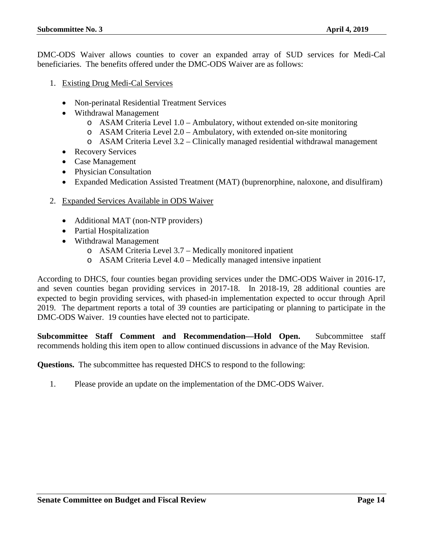DMC-ODS Waiver allows counties to cover an expanded array of SUD services for Medi-Cal beneficiaries. The benefits offered under the DMC-ODS Waiver are as follows:

- 1. Existing Drug Medi-Cal Services
	- Non-perinatal Residential Treatment Services
	- Withdrawal Management
		- $\circ$  ASAM Criteria Level 1.0 Ambulatory, without extended on-site monitoring
		- o ASAM Criteria Level 2.0 Ambulatory, with extended on-site monitoring
		- o ASAM Criteria Level 3.2 Clinically managed residential withdrawal management
	- Recovery Services
	- Case Management
	- Physician Consultation
	- Expanded Medication Assisted Treatment (MAT) (buprenorphine, naloxone, and disulfiram)
- 2. Expanded Services Available in ODS Waiver
	- Additional MAT (non-NTP providers)
	- Partial Hospitalization
	- Withdrawal Management
		- o ASAM Criteria Level 3.7 Medically monitored inpatient
		- o ASAM Criteria Level 4.0 Medically managed intensive inpatient

According to DHCS, four counties began providing services under the DMC-ODS Waiver in 2016-17, and seven counties began providing services in 2017-18. In 2018-19, 28 additional counties are expected to begin providing services, with phased-in implementation expected to occur through April 2019. The department reports a total of 39 counties are participating or planning to participate in the DMC-ODS Waiver. 19 counties have elected not to participate.

**Subcommittee Staff Comment and Recommendation—Hold Open.** Subcommittee staff recommends holding this item open to allow continued discussions in advance of the May Revision.

**Questions.** The subcommittee has requested DHCS to respond to the following:

1. Please provide an update on the implementation of the DMC-ODS Waiver.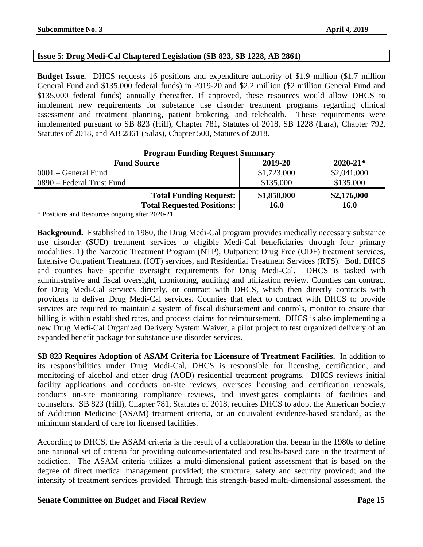# <span id="page-14-0"></span>**Issue 5: Drug Medi-Cal Chaptered Legislation (SB 823, SB 1228, AB 2861)**

**Budget Issue.** DHCS requests 16 positions and expenditure authority of \$1.9 million (\$1.7 million General Fund and \$135,000 federal funds) in 2019-20 and \$2.2 million (\$2 million General Fund and \$135,000 federal funds) annually thereafter. If approved, these resources would allow DHCS to implement new requirements for substance use disorder treatment programs regarding clinical assessment and treatment planning, patient brokering, and telehealth. These requirements were implemented pursuant to SB 823 (Hill), Chapter 781, Statutes of 2018, SB 1228 (Lara), Chapter 792, Statutes of 2018, and AB 2861 (Salas), Chapter 500, Statutes of 2018.

| <b>Program Funding Request Summary</b>        |             |             |  |  |  |
|-----------------------------------------------|-------------|-------------|--|--|--|
| $2020 - 21*$<br>2019-20<br><b>Fund Source</b> |             |             |  |  |  |
| $0001$ – General Fund                         | \$1,723,000 | \$2,041,000 |  |  |  |
| 0890 – Federal Trust Fund                     | \$135,000   | \$135,000   |  |  |  |
| <b>Total Funding Request:</b>                 | \$1,858,000 | \$2,176,000 |  |  |  |
| <b>Total Requested Positions:</b>             | 16.0        | <b>16.0</b> |  |  |  |

\* Positions and Resources ongoing after 2020-21.

**Background.** Established in 1980, the Drug Medi-Cal program provides medically necessary substance use disorder (SUD) treatment services to eligible Medi-Cal beneficiaries through four primary modalities: 1) the Narcotic Treatment Program (NTP), Outpatient Drug Free (ODF) treatment services, Intensive Outpatient Treatment (IOT) services, and Residential Treatment Services (RTS). Both DHCS and counties have specific oversight requirements for Drug Medi-Cal. DHCS is tasked with administrative and fiscal oversight, monitoring, auditing and utilization review. Counties can contract for Drug Medi-Cal services directly, or contract with DHCS, which then directly contracts with providers to deliver Drug Medi-Cal services. Counties that elect to contract with DHCS to provide services are required to maintain a system of fiscal disbursement and controls, monitor to ensure that billing is within established rates, and process claims for reimbursement. DHCS is also implementing a new Drug Medi-Cal Organized Delivery System Waiver, a pilot project to test organized delivery of an expanded benefit package for substance use disorder services.

**SB 823 Requires Adoption of ASAM Criteria for Licensure of Treatment Facilities.** In addition to its responsibilities under Drug Medi-Cal, DHCS is responsible for licensing, certification, and monitoring of alcohol and other drug (AOD) residential treatment programs. DHCS reviews initial facility applications and conducts on-site reviews, oversees licensing and certification renewals, conducts on-site monitoring compliance reviews, and investigates complaints of facilities and counselors. SB 823 (Hill), Chapter 781, Statutes of 2018, requires DHCS to adopt the American Society of Addiction Medicine (ASAM) treatment criteria, or an equivalent evidence-based standard, as the minimum standard of care for licensed facilities.

According to DHCS, the ASAM criteria is the result of a collaboration that began in the 1980s to define one national set of criteria for providing outcome-orientated and results-based care in the treatment of addiction. The ASAM criteria utilizes a multi-dimensional patient assessment that is based on the degree of direct medical management provided; the structure, safety and security provided; and the intensity of treatment services provided. Through this strength-based multi-dimensional assessment, the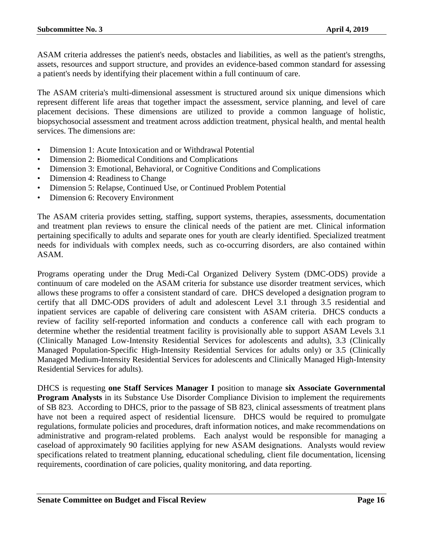ASAM criteria addresses the patient's needs, obstacles and liabilities, as well as the patient's strengths, assets, resources and support structure, and provides an evidence-based common standard for assessing a patient's needs by identifying their placement within a full continuum of care.

The ASAM criteria's multi-dimensional assessment is structured around six unique dimensions which represent different life areas that together impact the assessment, service planning, and level of care placement decisions. These dimensions are utilized to provide a common language of holistic, biopsychosocial assessment and treatment across addiction treatment, physical health, and mental health services. The dimensions are:

- Dimension 1: Acute Intoxication and or Withdrawal Potential
- Dimension 2: Biomedical Conditions and Complications
- Dimension 3: Emotional, Behavioral, or Cognitive Conditions and Complications
- Dimension 4: Readiness to Change
- Dimension 5: Relapse, Continued Use, or Continued Problem Potential
- Dimension 6: Recovery Environment

The ASAM criteria provides setting, staffing, support systems, therapies, assessments, documentation and treatment plan reviews to ensure the clinical needs of the patient are met. Clinical information pertaining specifically to adults and separate ones for youth are clearly identified. Specialized treatment needs for individuals with complex needs, such as co-occurring disorders, are also contained within ASAM.

Programs operating under the Drug Medi-Cal Organized Delivery System (DMC-ODS) provide a continuum of care modeled on the ASAM criteria for substance use disorder treatment services, which allows these programs to offer a consistent standard of care. DHCS developed a designation program to certify that all DMC-ODS providers of adult and adolescent Level 3.1 through 3.5 residential and inpatient services are capable of delivering care consistent with ASAM criteria. DHCS conducts a review of facility self-reported information and conducts a conference call with each program to determine whether the residential treatment facility is provisionally able to support ASAM Levels 3.1 (Clinically Managed Low-Intensity Residential Services for adolescents and adults), 3.3 (Clinically Managed Population-Specific High-Intensity Residential Services for adults only) or 3.5 (Clinically Managed Medium-Intensity Residential Services for adolescents and Clinically Managed High-Intensity Residential Services for adults).

DHCS is requesting **one Staff Services Manager I** position to manage **six Associate Governmental Program Analysts** in its Substance Use Disorder Compliance Division to implement the requirements of SB 823. According to DHCS, prior to the passage of SB 823, clinical assessments of treatment plans have not been a required aspect of residential licensure. DHCS would be required to promulgate regulations, formulate policies and procedures, draft information notices, and make recommendations on administrative and program-related problems. Each analyst would be responsible for managing a caseload of approximately 90 facilities applying for new ASAM designations. Analysts would review specifications related to treatment planning, educational scheduling, client file documentation, licensing requirements, coordination of care policies, quality monitoring, and data reporting.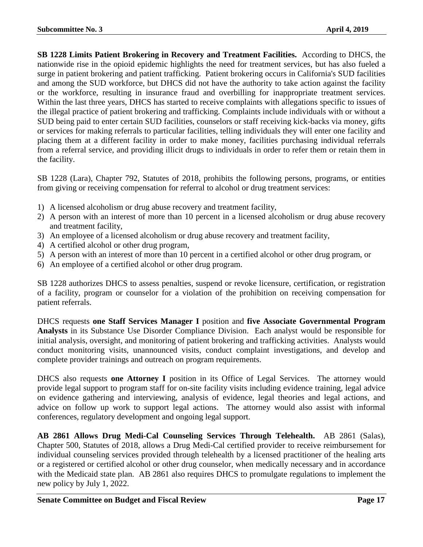**SB 1228 Limits Patient Brokering in Recovery and Treatment Facilities.** According to DHCS, the nationwide rise in the opioid epidemic highlights the need for treatment services, but has also fueled a surge in patient brokering and patient trafficking. Patient brokering occurs in California's SUD facilities and among the SUD workforce, but DHCS did not have the authority to take action against the facility or the workforce, resulting in insurance fraud and overbilling for inappropriate treatment services. Within the last three years, DHCS has started to receive complaints with allegations specific to issues of the illegal practice of patient brokering and trafficking. Complaints include individuals with or without a SUD being paid to enter certain SUD facilities, counselors or staff receiving kick-backs via money, gifts or services for making referrals to particular facilities, telling individuals they will enter one facility and placing them at a different facility in order to make money, facilities purchasing individual referrals from a referral service, and providing illicit drugs to individuals in order to refer them or retain them in the facility.

SB 1228 (Lara), Chapter 792, Statutes of 2018, prohibits the following persons, programs, or entities from giving or receiving compensation for referral to alcohol or drug treatment services:

- 1) A licensed alcoholism or drug abuse recovery and treatment facility,
- 2) A person with an interest of more than 10 percent in a licensed alcoholism or drug abuse recovery and treatment facility,
- 3) An employee of a licensed alcoholism or drug abuse recovery and treatment facility,
- 4) A certified alcohol or other drug program,
- 5) A person with an interest of more than 10 percent in a certified alcohol or other drug program, or
- 6) An employee of a certified alcohol or other drug program.

SB 1228 authorizes DHCS to assess penalties, suspend or revoke licensure, certification, or registration of a facility, program or counselor for a violation of the prohibition on receiving compensation for patient referrals.

DHCS requests **one Staff Services Manager I** position and **five Associate Governmental Program Analysts** in its Substance Use Disorder Compliance Division. Each analyst would be responsible for initial analysis, oversight, and monitoring of patient brokering and trafficking activities. Analysts would conduct monitoring visits, unannounced visits, conduct complaint investigations, and develop and complete provider trainings and outreach on program requirements.

DHCS also requests **one Attorney I** position in its Office of Legal Services. The attorney would provide legal support to program staff for on-site facility visits including evidence training, legal advice on evidence gathering and interviewing, analysis of evidence, legal theories and legal actions, and advice on follow up work to support legal actions. The attorney would also assist with informal conferences, regulatory development and ongoing legal support.

**AB 2861 Allows Drug Medi-Cal Counseling Services Through Telehealth.** AB 2861 (Salas), Chapter 500, Statutes of 2018, allows a Drug Medi-Cal certified provider to receive reimbursement for individual counseling services provided through telehealth by a licensed practitioner of the healing arts or a registered or certified alcohol or other drug counselor, when medically necessary and in accordance with the Medicaid state plan. AB 2861 also requires DHCS to promulgate regulations to implement the new policy by July 1, 2022.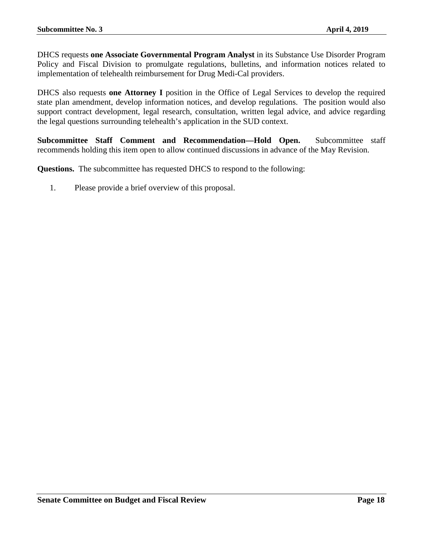DHCS requests **one Associate Governmental Program Analyst** in its Substance Use Disorder Program Policy and Fiscal Division to promulgate regulations, bulletins, and information notices related to implementation of telehealth reimbursement for Drug Medi-Cal providers.

DHCS also requests **one Attorney I** position in the Office of Legal Services to develop the required state plan amendment, develop information notices, and develop regulations. The position would also support contract development, legal research, consultation, written legal advice, and advice regarding the legal questions surrounding telehealth's application in the SUD context.

**Subcommittee Staff Comment and Recommendation—Hold Open.** Subcommittee staff recommends holding this item open to allow continued discussions in advance of the May Revision.

**Questions.** The subcommittee has requested DHCS to respond to the following:

1. Please provide a brief overview of this proposal.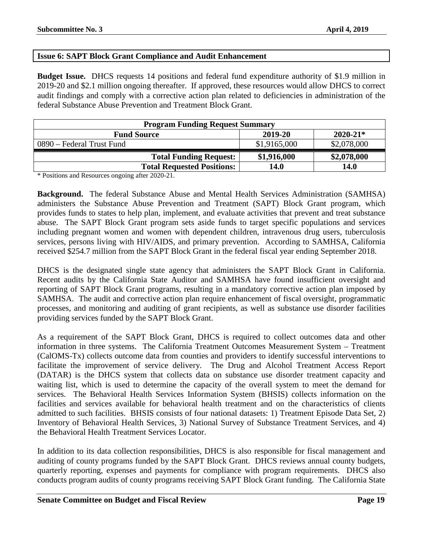# <span id="page-18-0"></span>**Issue 6: SAPT Block Grant Compliance and Audit Enhancement**

**Budget Issue.** DHCS requests 14 positions and federal fund expenditure authority of \$1.9 million in 2019-20 and \$2.1 million ongoing thereafter. If approved, these resources would allow DHCS to correct audit findings and comply with a corrective action plan related to deficiencies in administration of the federal Substance Abuse Prevention and Treatment Block Grant.

| <b>Program Funding Request Summary</b>        |              |             |  |  |  |
|-----------------------------------------------|--------------|-------------|--|--|--|
| $2020 - 21*$<br>2019-20<br><b>Fund Source</b> |              |             |  |  |  |
| 0890 – Federal Trust Fund                     | \$1,9165,000 | \$2,078,000 |  |  |  |
| <b>Total Funding Request:</b>                 | \$1,916,000  | \$2,078,000 |  |  |  |
| <b>Total Requested Positions:</b>             | 14.0         | 14.0        |  |  |  |

\* Positions and Resources ongoing after 2020-21.

**Background.** The federal Substance Abuse and Mental Health Services Administration (SAMHSA) administers the Substance Abuse Prevention and Treatment (SAPT) Block Grant program, which provides funds to states to help plan, implement, and evaluate activities that prevent and treat substance abuse. The SAPT Block Grant program sets aside funds to target specific populations and services including pregnant women and women with dependent children, intravenous drug users, tuberculosis services, persons living with HIV/AIDS, and primary prevention. According to SAMHSA, California received \$254.7 million from the SAPT Block Grant in the federal fiscal year ending September 2018.

DHCS is the designated single state agency that administers the SAPT Block Grant in California. Recent audits by the California State Auditor and SAMHSA have found insufficient oversight and reporting of SAPT Block Grant programs, resulting in a mandatory corrective action plan imposed by SAMHSA. The audit and corrective action plan require enhancement of fiscal oversight, programmatic processes, and monitoring and auditing of grant recipients, as well as substance use disorder facilities providing services funded by the SAPT Block Grant.

As a requirement of the SAPT Block Grant, DHCS is required to collect outcomes data and other information in three systems. The California Treatment Outcomes Measurement System – Treatment (CalOMS-Tx) collects outcome data from counties and providers to identify successful interventions to facilitate the improvement of service delivery. The Drug and Alcohol Treatment Access Report (DATAR) is the DHCS system that collects data on substance use disorder treatment capacity and waiting list, which is used to determine the capacity of the overall system to meet the demand for services. The Behavioral Health Services Information System (BHSIS) collects information on the facilities and services available for behavioral health treatment and on the characteristics of clients admitted to such facilities. BHSIS consists of four national datasets: 1) Treatment Episode Data Set, 2) Inventory of Behavioral Health Services, 3) National Survey of Substance Treatment Services, and 4) the Behavioral Health Treatment Services Locator.

In addition to its data collection responsibilities, DHCS is also responsible for fiscal management and auditing of county programs funded by the SAPT Block Grant. DHCS reviews annual county budgets, quarterly reporting, expenses and payments for compliance with program requirements. DHCS also conducts program audits of county programs receiving SAPT Block Grant funding. The California State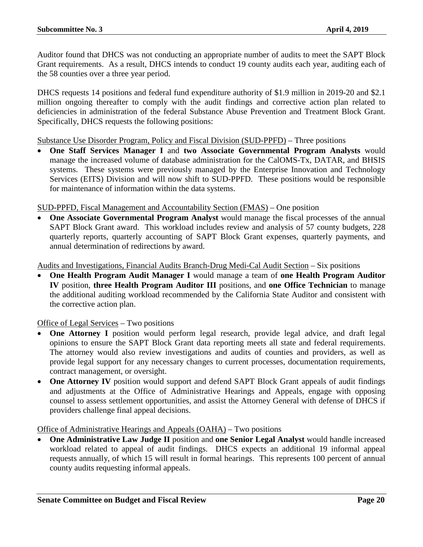Auditor found that DHCS was not conducting an appropriate number of audits to meet the SAPT Block Grant requirements. As a result, DHCS intends to conduct 19 county audits each year, auditing each of the 58 counties over a three year period.

DHCS requests 14 positions and federal fund expenditure authority of \$1.9 million in 2019-20 and \$2.1 million ongoing thereafter to comply with the audit findings and corrective action plan related to deficiencies in administration of the federal Substance Abuse Prevention and Treatment Block Grant. Specifically, DHCS requests the following positions:

Substance Use Disorder Program, Policy and Fiscal Division (SUD-PPFD) – Three positions

• **One Staff Services Manager I** and **two Associate Governmental Program Analysts** would manage the increased volume of database administration for the CalOMS-Tx, DATAR, and BHSIS systems. These systems were previously managed by the Enterprise Innovation and Technology Services (EITS) Division and will now shift to SUD-PPFD. These positions would be responsible for maintenance of information within the data systems.

# SUD-PPFD, Fiscal Management and Accountability Section (FMAS) – One position

• **One Associate Governmental Program Analyst** would manage the fiscal processes of the annual SAPT Block Grant award. This workload includes review and analysis of 57 county budgets, 228 quarterly reports, quarterly accounting of SAPT Block Grant expenses, quarterly payments, and annual determination of redirections by award.

Audits and Investigations, Financial Audits Branch-Drug Medi-Cal Audit Section – Six positions

• **One Health Program Audit Manager I** would manage a team of **one Health Program Auditor IV** position, **three Health Program Auditor III** positions, and **one Office Technician** to manage the additional auditing workload recommended by the California State Auditor and consistent with the corrective action plan.

# Office of Legal Services – Two positions

- **One Attorney I** position would perform legal research, provide legal advice, and draft legal opinions to ensure the SAPT Block Grant data reporting meets all state and federal requirements. The attorney would also review investigations and audits of counties and providers, as well as provide legal support for any necessary changes to current processes, documentation requirements, contract management, or oversight.
- **One Attorney IV** position would support and defend SAPT Block Grant appeals of audit findings and adjustments at the Office of Administrative Hearings and Appeals, engage with opposing counsel to assess settlement opportunities, and assist the Attorney General with defense of DHCS if providers challenge final appeal decisions.

Office of Administrative Hearings and Appeals (OAHA) – Two positions

• One Administrative Law Judge II position and one Senior Legal Analyst would handle increased workload related to appeal of audit findings. DHCS expects an additional 19 informal appeal requests annually, of which 15 will result in formal hearings. This represents 100 percent of annual county audits requesting informal appeals.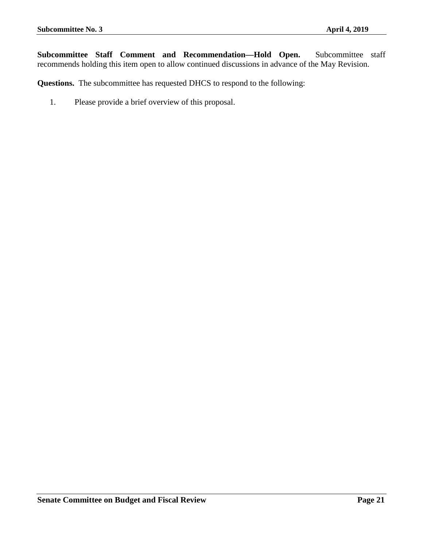**Subcommittee Staff Comment and Recommendation—Hold Open.** Subcommittee staff recommends holding this item open to allow continued discussions in advance of the May Revision.

**Questions.** The subcommittee has requested DHCS to respond to the following:

1. Please provide a brief overview of this proposal.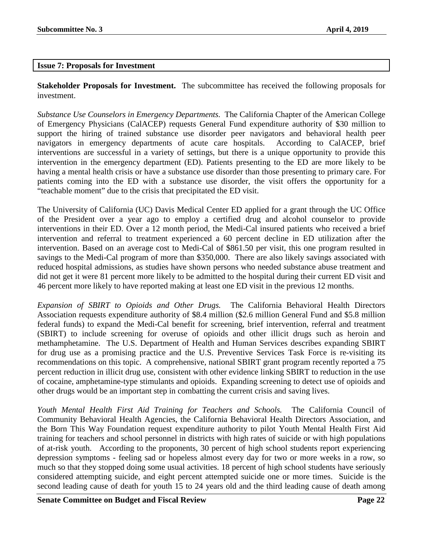# <span id="page-21-0"></span>**Issue 7: Proposals for Investment**

**Stakeholder Proposals for Investment.** The subcommittee has received the following proposals for investment.

*Substance Use Counselors in Emergency Departments.* The California Chapter of the American College of Emergency Physicians (CalACEP) requests General Fund expenditure authority of \$30 million to support the hiring of trained substance use disorder peer navigators and behavioral health peer navigators in emergency departments of acute care hospitals. According to CalACEP, brief interventions are successful in a variety of settings, but there is a unique opportunity to provide this intervention in the emergency department (ED). Patients presenting to the ED are more likely to be having a mental health crisis or have a substance use disorder than those presenting to primary care. For patients coming into the ED with a substance use disorder, the visit offers the opportunity for a "teachable moment" due to the crisis that precipitated the ED visit.

The University of California (UC) Davis Medical Center ED applied for a grant through the UC Office of the President over a year ago to employ a certified drug and alcohol counselor to provide interventions in their ED. Over a 12 month period, the Medi-Cal insured patients who received a brief intervention and referral to treatment experienced a 60 percent decline in ED utilization after the intervention. Based on an average cost to Medi-Cal of \$861.50 per visit, this one program resulted in savings to the Medi-Cal program of more than \$350,000. There are also likely savings associated with reduced hospital admissions, as studies have shown persons who needed substance abuse treatment and did not get it were 81 percent more likely to be admitted to the hospital during their current ED visit and 46 percent more likely to have reported making at least one ED visit in the previous 12 months.

*Expansion of SBIRT to Opioids and Other Drugs.* The California Behavioral Health Directors Association requests expenditure authority of \$8.4 million (\$2.6 million General Fund and \$5.8 million federal funds) to expand the Medi-Cal benefit for screening, brief intervention, referral and treatment (SBIRT) to include screening for overuse of opioids and other illicit drugs such as heroin and methamphetamine. The U.S. Department of Health and Human Services describes expanding SBIRT for drug use as a promising practice and the U.S. Preventive Services Task Force is re-visiting its recommendations on this topic. A comprehensive, national SBIRT grant program recently reported a 75 percent reduction in illicit drug use, consistent with other evidence linking SBIRT to reduction in the use of cocaine, amphetamine-type stimulants and opioids. Expanding screening to detect use of opioids and other drugs would be an important step in combatting the current crisis and saving lives.

*Youth Mental Health First Aid Training for Teachers and Schools.* The California Council of Community Behavioral Health Agencies, the California Behavioral Health Directors Association, and the Born This Way Foundation request expenditure authority to pilot Youth Mental Health First Aid training for teachers and school personnel in districts with high rates of suicide or with high populations of at-risk youth. According to the proponents, 30 percent of high school students report experiencing depression symptoms - feeling sad or hopeless almost every day for two or more weeks in a row, so much so that they stopped doing some usual activities. 18 percent of high school students have seriously considered attempting suicide, and eight percent attempted suicide one or more times. Suicide is the second leading cause of death for youth 15 to 24 years old and the third leading cause of death among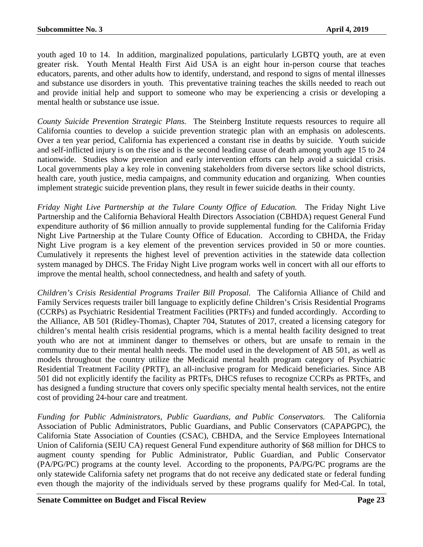youth aged 10 to 14. In addition, marginalized populations, particularly LGBTQ youth, are at even greater risk. Youth Mental Health First Aid USA is an eight hour in-person course that teaches educators, parents, and other adults how to identify, understand, and respond to signs of mental illnesses and substance use disorders in youth. This preventative training teaches the skills needed to reach out and provide initial help and support to someone who may be experiencing a crisis or developing a mental health or substance use issue.

*County Suicide Prevention Strategic Plans.* The Steinberg Institute requests resources to require all California counties to develop a suicide prevention strategic plan with an emphasis on adolescents. Over a ten year period, California has experienced a constant rise in deaths by suicide. Youth suicide and self-inflicted injury is on the rise and is the second leading cause of death among youth age 15 to 24 nationwide. Studies show prevention and early intervention efforts can help avoid a suicidal crisis. Local governments play a key role in convening stakeholders from diverse sectors like school districts, health care, youth justice, media campaigns, and community education and organizing. When counties implement strategic suicide prevention plans, they result in fewer suicide deaths in their county.

*Friday Night Live Partnership at the Tulare County Office of Education.* The Friday Night Live Partnership and the California Behavioral Health Directors Association (CBHDA) request General Fund expenditure authority of \$6 million annually to provide supplemental funding for the California Friday Night Live Partnership at the Tulare County Office of Education. According to CBHDA, the Friday Night Live program is a key element of the prevention services provided in 50 or more counties. Cumulatively it represents the highest level of prevention activities in the statewide data collection system managed by DHCS. The Friday Night Live program works well in concert with all our efforts to improve the mental health, school connectedness, and health and safety of youth.

*Children's Crisis Residential Programs Trailer Bill Proposal.* The California Alliance of Child and Family Services requests trailer bill language to explicitly define Children's Crisis Residential Programs (CCRPs) as Psychiatric Residential Treatment Facilities (PRTFs) and funded accordingly. According to the Alliance, AB 501 (Ridley-Thomas), Chapter 704, Statutes of 2017, created a licensing category for children's mental health crisis residential programs, which is a mental health facility designed to treat youth who are not at imminent danger to themselves or others, but are unsafe to remain in the community due to their mental health needs. The model used in the development of AB 501, as well as models throughout the country utilize the Medicaid mental health program category of Psychiatric Residential Treatment Facility (PRTF), an all-inclusive program for Medicaid beneficiaries. Since AB 501 did not explicitly identify the facility as PRTFs, DHCS refuses to recognize CCRPs as PRTFs, and has designed a funding structure that covers only specific specialty mental health services, not the entire cost of providing 24-hour care and treatment.

*Funding for Public Administrators, Public Guardians, and Public Conservators.* The California Association of Public Administrators, Public Guardians, and Public Conservators (CAPAPGPC), the California State Association of Counties (CSAC), CBHDA, and the Service Employees International Union of California (SEIU CA) request General Fund expenditure authority of \$68 million for DHCS to augment county spending for Public Administrator, Public Guardian, and Public Conservator (PA/PG/PC) programs at the county level. According to the proponents, PA/PG/PC programs are the only statewide California safety net programs that do not receive any dedicated state or federal funding even though the majority of the individuals served by these programs qualify for Med-Cal. In total,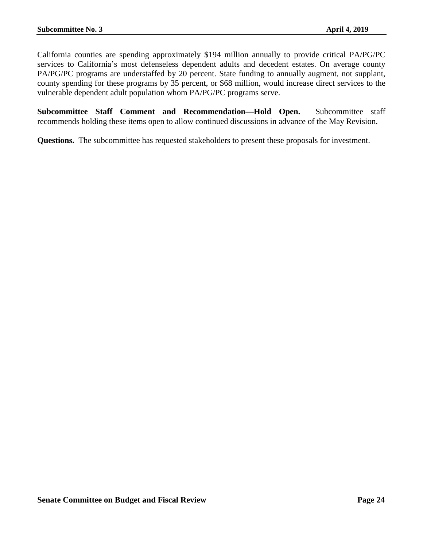California counties are spending approximately \$194 million annually to provide critical PA/PG/PC services to California's most defenseless dependent adults and decedent estates. On average county PA/PG/PC programs are understaffed by 20 percent. State funding to annually augment, not supplant, county spending for these programs by 35 percent, or \$68 million, would increase direct services to the vulnerable dependent adult population whom PA/PG/PC programs serve.

**Subcommittee Staff Comment and Recommendation—Hold Open.** Subcommittee staff recommends holding these items open to allow continued discussions in advance of the May Revision.

**Questions.** The subcommittee has requested stakeholders to present these proposals for investment.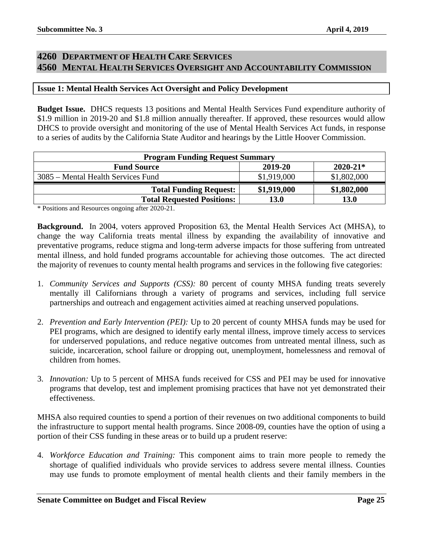# <span id="page-24-1"></span><span id="page-24-0"></span>**4260 DEPARTMENT OF HEALTH CARE SERVICES 4560 MENTAL HEALTH SERVICES OVERSIGHT AND ACCOUNTABILITY COMMISSION**

# <span id="page-24-2"></span>**Issue 1: Mental Health Services Act Oversight and Policy Development**

**Budget Issue.** DHCS requests 13 positions and Mental Health Services Fund expenditure authority of \$1.9 million in 2019-20 and \$1.8 million annually thereafter. If approved, these resources would allow DHCS to provide oversight and monitoring of the use of Mental Health Services Act funds, in response to a series of audits by the California State Auditor and hearings by the Little Hoover Commission.

| <b>Program Funding Request Summary</b> |             |              |  |  |
|----------------------------------------|-------------|--------------|--|--|
| <b>Fund Source</b>                     | 2019-20     | $2020 - 21*$ |  |  |
| 3085 – Mental Health Services Fund     | \$1,919,000 | \$1,802,000  |  |  |
| <b>Total Funding Request:</b>          | \$1,919,000 | \$1,802,000  |  |  |
| <b>Total Requested Positions:</b>      | 13.0        | <b>13.0</b>  |  |  |

\* Positions and Resources ongoing after 2020-21.

**Background.** In 2004, voters approved Proposition 63, the Mental Health Services Act (MHSA), to change the way California treats mental illness by expanding the availability of innovative and preventative programs, reduce stigma and long-term adverse impacts for those suffering from untreated mental illness, and hold funded programs accountable for achieving those outcomes. The act directed the majority of revenues to county mental health programs and services in the following five categories:

- 1. *Community Services and Supports (CSS):* 80 percent of county MHSA funding treats severely mentally ill Californians through a variety of programs and services, including full service partnerships and outreach and engagement activities aimed at reaching unserved populations.
- 2. *Prevention and Early Intervention (PEI):* Up to 20 percent of county MHSA funds may be used for PEI programs, which are designed to identify early mental illness, improve timely access to services for underserved populations, and reduce negative outcomes from untreated mental illness, such as suicide, incarceration, school failure or dropping out, unemployment, homelessness and removal of children from homes.
- 3. *Innovation:* Up to 5 percent of MHSA funds received for CSS and PEI may be used for innovative programs that develop, test and implement promising practices that have not yet demonstrated their effectiveness.

MHSA also required counties to spend a portion of their revenues on two additional components to build the infrastructure to support mental health programs. Since 2008-09, counties have the option of using a portion of their CSS funding in these areas or to build up a prudent reserve:

4. *Workforce Education and Training:* This component aims to train more people to remedy the shortage of qualified individuals who provide services to address severe mental illness. Counties may use funds to promote employment of mental health clients and their family members in the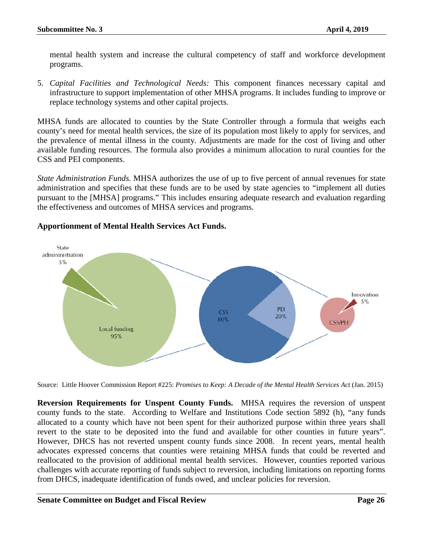mental health system and increase the cultural competency of staff and workforce development programs.

5. *Capital Facilities and Technological Needs:* This component finances necessary capital and infrastructure to support implementation of other MHSA programs. It includes funding to improve or replace technology systems and other capital projects.

MHSA funds are allocated to counties by the State Controller through a formula that weighs each county's need for mental health services, the size of its population most likely to apply for services, and the prevalence of mental illness in the county. Adjustments are made for the cost of living and other available funding resources. The formula also provides a minimum allocation to rural counties for the CSS and PEI components.

*State Administration Funds.* MHSA authorizes the use of up to five percent of annual revenues for state administration and specifies that these funds are to be used by state agencies to "implement all duties pursuant to the [MHSA] programs." This includes ensuring adequate research and evaluation regarding the effectiveness and outcomes of MHSA services and programs.



# **Apportionment of Mental Health Services Act Funds.**

Source: Little Hoover Commission Report #225: *Promises to Keep: A Decade of the Mental Health Services Act* (Jan. 2015)

**Reversion Requirements for Unspent County Funds.** MHSA requires the reversion of unspent county funds to the state. According to Welfare and Institutions Code section 5892 (h), "any funds allocated to a county which have not been spent for their authorized purpose within three years shall revert to the state to be deposited into the fund and available for other counties in future years". However, DHCS has not reverted unspent county funds since 2008. In recent years, mental health advocates expressed concerns that counties were retaining MHSA funds that could be reverted and reallocated to the provision of additional mental health services. However, counties reported various challenges with accurate reporting of funds subject to reversion, including limitations on reporting forms from DHCS, inadequate identification of funds owed, and unclear policies for reversion.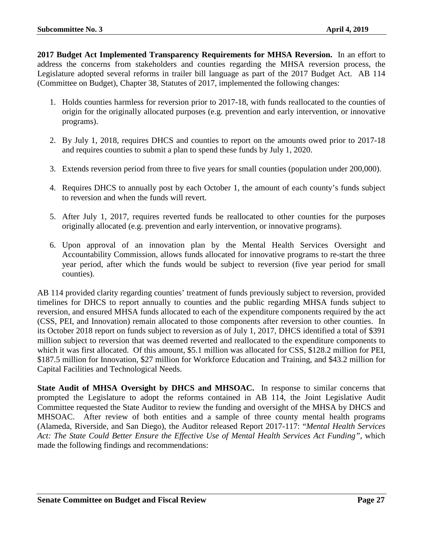**2017 Budget Act Implemented Transparency Requirements for MHSA Reversion.** In an effort to address the concerns from stakeholders and counties regarding the MHSA reversion process, the Legislature adopted several reforms in trailer bill language as part of the 2017 Budget Act. AB 114 (Committee on Budget), Chapter 38, Statutes of 2017, implemented the following changes:

- 1. Holds counties harmless for reversion prior to 2017-18, with funds reallocated to the counties of origin for the originally allocated purposes (e.g. prevention and early intervention, or innovative programs).
- 2. By July 1, 2018, requires DHCS and counties to report on the amounts owed prior to 2017-18 and requires counties to submit a plan to spend these funds by July 1, 2020.
- 3. Extends reversion period from three to five years for small counties (population under 200,000).
- 4. Requires DHCS to annually post by each October 1, the amount of each county's funds subject to reversion and when the funds will revert.
- 5. After July 1, 2017, requires reverted funds be reallocated to other counties for the purposes originally allocated (e.g. prevention and early intervention, or innovative programs).
- 6. Upon approval of an innovation plan by the Mental Health Services Oversight and Accountability Commission, allows funds allocated for innovative programs to re-start the three year period, after which the funds would be subject to reversion (five year period for small counties).

AB 114 provided clarity regarding counties' treatment of funds previously subject to reversion, provided timelines for DHCS to report annually to counties and the public regarding MHSA funds subject to reversion, and ensured MHSA funds allocated to each of the expenditure components required by the act (CSS, PEI, and Innovation) remain allocated to those components after reversion to other counties. In its October 2018 report on funds subject to reversion as of July 1, 2017, DHCS identified a total of \$391 million subject to reversion that was deemed reverted and reallocated to the expenditure components to which it was first allocated. Of this amount, \$5.1 million was allocated for CSS, \$128.2 million for PEI, \$187.5 million for Innovation, \$27 million for Workforce Education and Training, and \$43.2 million for Capital Facilities and Technological Needs.

**State Audit of MHSA Oversight by DHCS and MHSOAC.** In response to similar concerns that prompted the Legislature to adopt the reforms contained in AB 114, the Joint Legislative Audit Committee requested the State Auditor to review the funding and oversight of the MHSA by DHCS and MHSOAC. After review of both entities and a sample of three county mental health programs (Alameda, Riverside, and San Diego), the Auditor released Report 2017-117: "*Mental Health Services Act: The State Could Better Ensure the Effective Use of Mental Health Services Act Funding"*, which made the following findings and recommendations: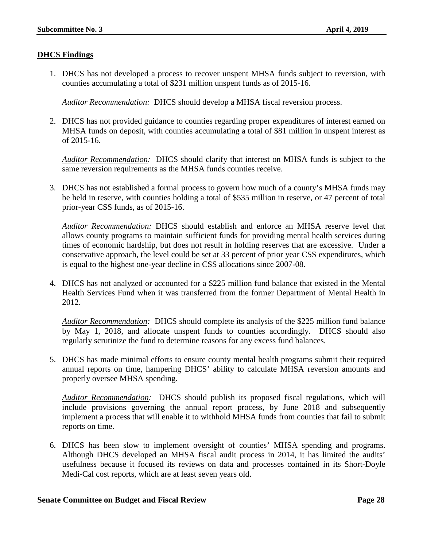# **DHCS Findings**

1. DHCS has not developed a process to recover unspent MHSA funds subject to reversion, with counties accumulating a total of \$231 million unspent funds as of 2015-16.

*Auditor Recommendation:* DHCS should develop a MHSA fiscal reversion process.

2. DHCS has not provided guidance to counties regarding proper expenditures of interest earned on MHSA funds on deposit, with counties accumulating a total of \$81 million in unspent interest as of 2015-16.

*Auditor Recommendation:* DHCS should clarify that interest on MHSA funds is subject to the same reversion requirements as the MHSA funds counties receive.

3. DHCS has not established a formal process to govern how much of a county's MHSA funds may be held in reserve, with counties holding a total of \$535 million in reserve, or 47 percent of total prior-year CSS funds, as of 2015-16.

*Auditor Recommendation:* DHCS should establish and enforce an MHSA reserve level that allows county programs to maintain sufficient funds for providing mental health services during times of economic hardship, but does not result in holding reserves that are excessive. Under a conservative approach, the level could be set at 33 percent of prior year CSS expenditures, which is equal to the highest one-year decline in CSS allocations since 2007-08.

4. DHCS has not analyzed or accounted for a \$225 million fund balance that existed in the Mental Health Services Fund when it was transferred from the former Department of Mental Health in 2012.

*Auditor Recommendation:* DHCS should complete its analysis of the \$225 million fund balance by May 1, 2018, and allocate unspent funds to counties accordingly. DHCS should also regularly scrutinize the fund to determine reasons for any excess fund balances.

5. DHCS has made minimal efforts to ensure county mental health programs submit their required annual reports on time, hampering DHCS' ability to calculate MHSA reversion amounts and properly oversee MHSA spending.

*Auditor Recommendation:* DHCS should publish its proposed fiscal regulations, which will include provisions governing the annual report process, by June 2018 and subsequently implement a process that will enable it to withhold MHSA funds from counties that fail to submit reports on time.

6. DHCS has been slow to implement oversight of counties' MHSA spending and programs. Although DHCS developed an MHSA fiscal audit process in 2014, it has limited the audits' usefulness because it focused its reviews on data and processes contained in its Short-Doyle Medi-Cal cost reports, which are at least seven years old.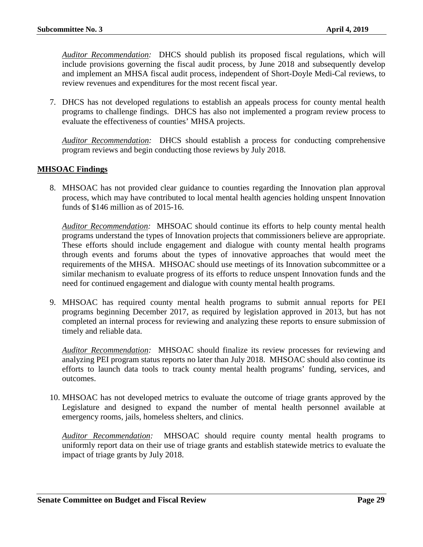*Auditor Recommendation:* DHCS should publish its proposed fiscal regulations, which will include provisions governing the fiscal audit process, by June 2018 and subsequently develop and implement an MHSA fiscal audit process, independent of Short-Doyle Medi-Cal reviews, to review revenues and expenditures for the most recent fiscal year.

7. DHCS has not developed regulations to establish an appeals process for county mental health programs to challenge findings. DHCS has also not implemented a program review process to evaluate the effectiveness of counties' MHSA projects.

*Auditor Recommendation:* DHCS should establish a process for conducting comprehensive program reviews and begin conducting those reviews by July 2018.

# **MHSOAC Findings**

8. MHSOAC has not provided clear guidance to counties regarding the Innovation plan approval process, which may have contributed to local mental health agencies holding unspent Innovation funds of \$146 million as of 2015-16.

*Auditor Recommendation:* MHSOAC should continue its efforts to help county mental health programs understand the types of Innovation projects that commissioners believe are appropriate. These efforts should include engagement and dialogue with county mental health programs through events and forums about the types of innovative approaches that would meet the requirements of the MHSA. MHSOAC should use meetings of its Innovation subcommittee or a similar mechanism to evaluate progress of its efforts to reduce unspent Innovation funds and the need for continued engagement and dialogue with county mental health programs.

9. MHSOAC has required county mental health programs to submit annual reports for PEI programs beginning December 2017, as required by legislation approved in 2013, but has not completed an internal process for reviewing and analyzing these reports to ensure submission of timely and reliable data.

*Auditor Recommendation:* MHSOAC should finalize its review processes for reviewing and analyzing PEI program status reports no later than July 2018. MHSOAC should also continue its efforts to launch data tools to track county mental health programs' funding, services, and outcomes.

10. MHSOAC has not developed metrics to evaluate the outcome of triage grants approved by the Legislature and designed to expand the number of mental health personnel available at emergency rooms, jails, homeless shelters, and clinics.

*Auditor Recommendation:* MHSOAC should require county mental health programs to uniformly report data on their use of triage grants and establish statewide metrics to evaluate the impact of triage grants by July 2018.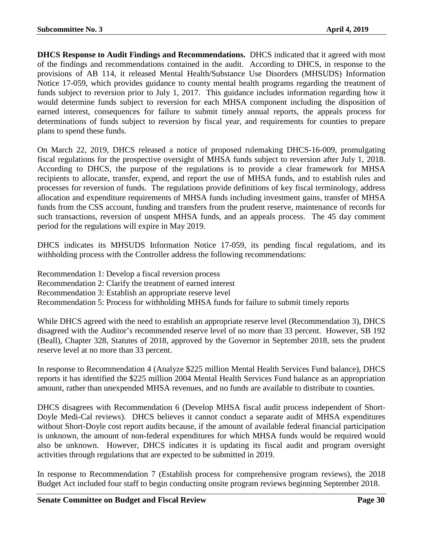**DHCS Response to Audit Findings and Recommendations.** DHCS indicated that it agreed with most of the findings and recommendations contained in the audit. According to DHCS, in response to the provisions of AB 114, it released Mental Health/Substance Use Disorders (MHSUDS) Information Notice 17-059, which provides guidance to county mental health programs regarding the treatment of funds subject to reversion prior to July 1, 2017. This guidance includes information regarding how it would determine funds subject to reversion for each MHSA component including the disposition of earned interest, consequences for failure to submit timely annual reports, the appeals process for determinations of funds subject to reversion by fiscal year, and requirements for counties to prepare plans to spend these funds.

On March 22, 2019, DHCS released a notice of proposed rulemaking DHCS-16-009, promulgating fiscal regulations for the prospective oversight of MHSA funds subject to reversion after July 1, 2018. According to DHCS, the purpose of the regulations is to provide a clear framework for MHSA recipients to allocate, transfer, expend, and report the use of MHSA funds, and to establish rules and processes for reversion of funds. The regulations provide definitions of key fiscal terminology, address allocation and expenditure requirements of MHSA funds including investment gains, transfer of MHSA funds from the CSS account, funding and transfers from the prudent reserve, maintenance of records for such transactions, reversion of unspent MHSA funds, and an appeals process. The 45 day comment period for the regulations will expire in May 2019.

DHCS indicates its MHSUDS Information Notice 17-059, its pending fiscal regulations, and its withholding process with the Controller address the following recommendations:

Recommendation 1: Develop a fiscal reversion process Recommendation 2: Clarify the treatment of earned interest Recommendation 3: Establish an appropriate reserve level Recommendation 5: Process for withholding MHSA funds for failure to submit timely reports

While DHCS agreed with the need to establish an appropriate reserve level (Recommendation 3), DHCS disagreed with the Auditor's recommended reserve level of no more than 33 percent. However, SB 192 (Beall), Chapter 328, Statutes of 2018, approved by the Governor in September 2018, sets the prudent reserve level at no more than 33 percent.

In response to Recommendation 4 (Analyze \$225 million Mental Health Services Fund balance), DHCS reports it has identified the \$225 million 2004 Mental Health Services Fund balance as an appropriation amount, rather than unexpended MHSA revenues, and no funds are available to distribute to counties.

DHCS disagrees with Recommendation 6 (Develop MHSA fiscal audit process independent of Short-Doyle Medi-Cal reviews). DHCS believes it cannot conduct a separate audit of MHSA expenditures without Short-Doyle cost report audits because, if the amount of available federal financial participation is unknown, the amount of non-federal expenditures for which MHSA funds would be required would also be unknown. However, DHCS indicates it is updating its fiscal audit and program oversight activities through regulations that are expected to be submitted in 2019.

In response to Recommendation 7 (Establish process for comprehensive program reviews), the 2018 Budget Act included four staff to begin conducting onsite program reviews beginning September 2018.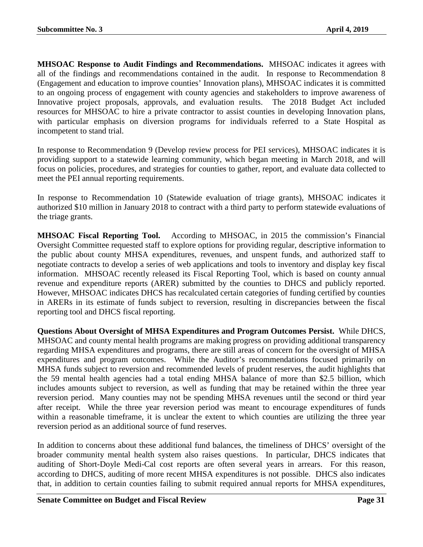**MHSOAC Response to Audit Findings and Recommendations.** MHSOAC indicates it agrees with all of the findings and recommendations contained in the audit. In response to Recommendation 8 (Engagement and education to improve counties' Innovation plans), MHSOAC indicates it is committed to an ongoing process of engagement with county agencies and stakeholders to improve awareness of Innovative project proposals, approvals, and evaluation results. The 2018 Budget Act included resources for MHSOAC to hire a private contractor to assist counties in developing Innovation plans, with particular emphasis on diversion programs for individuals referred to a State Hospital as incompetent to stand trial.

In response to Recommendation 9 (Develop review process for PEI services), MHSOAC indicates it is providing support to a statewide learning community, which began meeting in March 2018, and will focus on policies, procedures, and strategies for counties to gather, report, and evaluate data collected to meet the PEI annual reporting requirements.

In response to Recommendation 10 (Statewide evaluation of triage grants), MHSOAC indicates it authorized \$10 million in January 2018 to contract with a third party to perform statewide evaluations of the triage grants.

**MHSOAC Fiscal Reporting Tool.** According to MHSOAC, in 2015 the commission's Financial Oversight Committee requested staff to explore options for providing regular, descriptive information to the public about county MHSA expenditures, revenues, and unspent funds, and authorized staff to negotiate contracts to develop a series of web applications and tools to inventory and display key fiscal information. MHSOAC recently released its Fiscal Reporting Tool, which is based on county annual revenue and expenditure reports (ARER) submitted by the counties to DHCS and publicly reported. However, MHSOAC indicates DHCS has recalculated certain categories of funding certified by counties in ARERs in its estimate of funds subject to reversion, resulting in discrepancies between the fiscal reporting tool and DHCS fiscal reporting.

**Questions About Oversight of MHSA Expenditures and Program Outcomes Persist.** While DHCS, MHSOAC and county mental health programs are making progress on providing additional transparency regarding MHSA expenditures and programs, there are still areas of concern for the oversight of MHSA expenditures and program outcomes. While the Auditor's recommendations focused primarily on MHSA funds subject to reversion and recommended levels of prudent reserves, the audit highlights that the 59 mental health agencies had a total ending MHSA balance of more than \$2.5 billion, which includes amounts subject to reversion, as well as funding that may be retained within the three year reversion period. Many counties may not be spending MHSA revenues until the second or third year after receipt. While the three year reversion period was meant to encourage expenditures of funds within a reasonable timeframe, it is unclear the extent to which counties are utilizing the three year reversion period as an additional source of fund reserves.

In addition to concerns about these additional fund balances, the timeliness of DHCS' oversight of the broader community mental health system also raises questions. In particular, DHCS indicates that auditing of Short-Doyle Medi-Cal cost reports are often several years in arrears. For this reason, according to DHCS, auditing of more recent MHSA expenditures is not possible. DHCS also indicates that, in addition to certain counties failing to submit required annual reports for MHSA expenditures,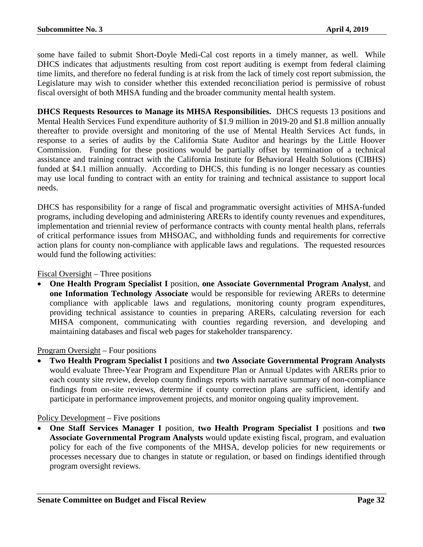some have failed to submit Short-Doyle Medi-Cal cost reports in a timely manner, as well. While DHCS indicates that adjustments resulting from cost report auditing is exempt from federal claiming time limits, and therefore no federal funding is at risk from the lack of timely cost report submission, the Legislature may wish to consider whether this extended reconciliation period is permissive of robust fiscal oversight of both MHSA funding and the broader community mental health system.

**DHCS Requests Resources to Manage its MHSA Responsibilities.** DHCS requests 13 positions and Mental Health Services Fund expenditure authority of \$1.9 million in 2019-20 and \$1.8 million annually thereafter to provide oversight and monitoring of the use of Mental Health Services Act funds, in response to a series of audits by the California State Auditor and hearings by the Little Hoover Commission. Funding for these positions would be partially offset by termination of a technical assistance and training contract with the California Institute for Behavioral Health Solutions (CIBHS) funded at \$4.1 million annually. According to DHCS, this funding is no longer necessary as counties may use local funding to contract with an entity for training and technical assistance to support local needs.

DHCS has responsibility for a range of fiscal and programmatic oversight activities of MHSA-funded programs, including developing and administering ARERs to identify county revenues and expenditures, implementation and triennial review of performance contracts with county mental health plans, referrals of critical performance issues from MHSOAC, and withholding funds and requirements for corrective action plans for county non-compliance with applicable laws and regulations. The requested resources would fund the following activities:

Fiscal Oversight – Three positions

• **One Health Program Specialist I** position, **one Associate Governmental Program Analyst**, and **one Information Technology Associate** would be responsible for reviewing ARERs to determine compliance with applicable laws and regulations, monitoring county program expenditures, providing technical assistance to counties in preparing ARERs, calculating reversion for each MHSA component, communicating with counties regarding reversion, and developing and maintaining databases and fiscal web pages for stakeholder transparency.

# Program Oversight – Four positions

• **Two Health Program Specialist I** positions and **two Associate Governmental Program Analysts** would evaluate Three-Year Program and Expenditure Plan or Annual Updates with ARERs prior to each county site review, develop county findings reports with narrative summary of non-compliance findings from on-site reviews, determine if county correction plans are sufficient, identify and participate in performance improvement projects, and monitor ongoing quality improvement.

Policy Development – Five positions

• **One Staff Services Manager I** position, **two Health Program Specialist I** positions and **two Associate Governmental Program Analysts** would update existing fiscal, program, and evaluation policy for each of the five components of the MHSA, develop policies for new requirements or processes necessary due to changes in statute or regulation, or based on findings identified through program oversight reviews.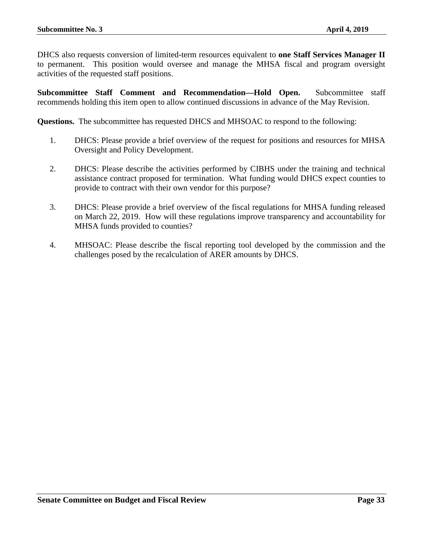DHCS also requests conversion of limited-term resources equivalent to **one Staff Services Manager II** to permanent. This position would oversee and manage the MHSA fiscal and program oversight activities of the requested staff positions.

**Subcommittee Staff Comment and Recommendation—Hold Open.** Subcommittee staff recommends holding this item open to allow continued discussions in advance of the May Revision.

**Questions.** The subcommittee has requested DHCS and MHSOAC to respond to the following:

- 1. DHCS: Please provide a brief overview of the request for positions and resources for MHSA Oversight and Policy Development.
- 2. DHCS: Please describe the activities performed by CIBHS under the training and technical assistance contract proposed for termination. What funding would DHCS expect counties to provide to contract with their own vendor for this purpose?
- 3. DHCS: Please provide a brief overview of the fiscal regulations for MHSA funding released on March 22, 2019. How will these regulations improve transparency and accountability for MHSA funds provided to counties?
- 4. MHSOAC: Please describe the fiscal reporting tool developed by the commission and the challenges posed by the recalculation of ARER amounts by DHCS.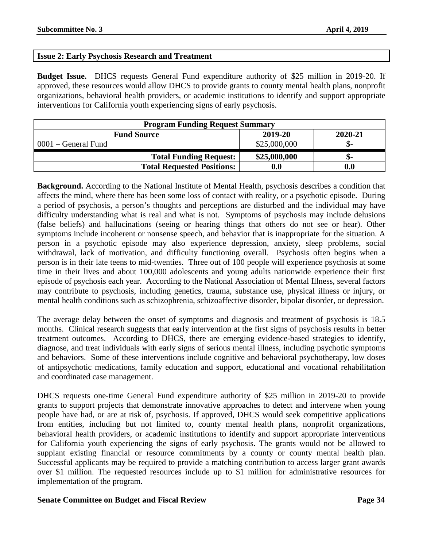# <span id="page-33-0"></span>**Issue 2: Early Psychosis Research and Treatment**

**Budget Issue.** DHCS requests General Fund expenditure authority of \$25 million in 2019-20. If approved, these resources would allow DHCS to provide grants to county mental health plans, nonprofit organizations, behavioral health providers, or academic institutions to identify and support appropriate interventions for California youth experiencing signs of early psychosis.

| <b>Program Funding Request Summary</b>   |              |     |  |  |  |
|------------------------------------------|--------------|-----|--|--|--|
| 2019-20<br>2020-21<br><b>Fund Source</b> |              |     |  |  |  |
| $0001$ – General Fund                    | \$25,000,000 |     |  |  |  |
| <b>Total Funding Request:</b>            | \$25,000,000 | -ת. |  |  |  |
| <b>Total Requested Positions:</b>        | $0.0\,$      | 0.0 |  |  |  |

**Background.** According to the National Institute of Mental Health, psychosis describes a condition that affects the mind, where there has been some loss of contact with reality, or a psychotic episode. During a period of psychosis, a person's thoughts and perceptions are disturbed and the individual may have difficulty understanding what is real and what is not. Symptoms of psychosis may include delusions (false beliefs) and hallucinations (seeing or hearing things that others do not see or hear). Other symptoms include incoherent or nonsense speech, and behavior that is inappropriate for the situation. A person in a psychotic episode may also experience depression, anxiety, sleep problems, social withdrawal, lack of motivation, and difficulty functioning overall. Psychosis often begins when a person is in their late teens to mid-twenties. Three out of 100 people will experience psychosis at some time in their lives and about 100,000 adolescents and young adults nationwide experience their first episode of psychosis each year. According to the National Association of Mental Illness, several factors may contribute to psychosis, including genetics, trauma, substance use, physical illness or injury, or mental health conditions such as schizophrenia, schizoaffective disorder, bipolar disorder, or depression.

The average delay between the onset of symptoms and diagnosis and treatment of psychosis is 18.5 months. Clinical research suggests that early intervention at the first signs of psychosis results in better treatment outcomes. According to DHCS, there are emerging evidence-based strategies to identify, diagnose, and treat individuals with early signs of serious mental illness, including psychotic symptoms and behaviors. Some of these interventions include cognitive and behavioral psychotherapy, low doses of antipsychotic medications, family education and support, educational and vocational rehabilitation and coordinated case management.

DHCS requests one-time General Fund expenditure authority of \$25 million in 2019-20 to provide grants to support projects that demonstrate innovative approaches to detect and intervene when young people have had, or are at risk of, psychosis. If approved, DHCS would seek competitive applications from entities, including but not limited to, county mental health plans, nonprofit organizations, behavioral health providers, or academic institutions to identify and support appropriate interventions for California youth experiencing the signs of early psychosis. The grants would not be allowed to supplant existing financial or resource commitments by a county or county mental health plan. Successful applicants may be required to provide a matching contribution to access larger grant awards over \$1 million. The requested resources include up to \$1 million for administrative resources for implementation of the program.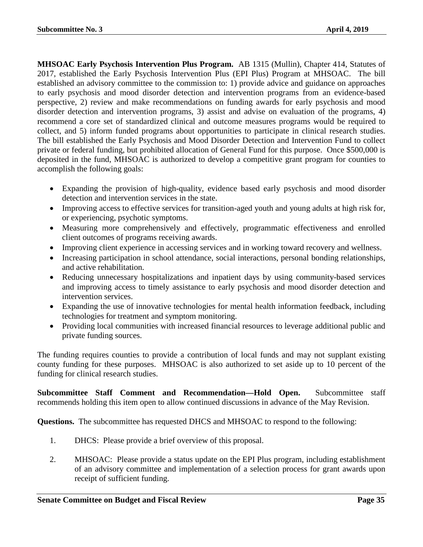**MHSOAC Early Psychosis Intervention Plus Program.** AB 1315 (Mullin), Chapter 414, Statutes of 2017, established the Early Psychosis Intervention Plus (EPI Plus) Program at MHSOAC. The bill established an advisory committee to the commission to: 1) provide advice and guidance on approaches to early psychosis and mood disorder detection and intervention programs from an evidence-based perspective, 2) review and make recommendations on funding awards for early psychosis and mood disorder detection and intervention programs, 3) assist and advise on evaluation of the programs, 4) recommend a core set of standardized clinical and outcome measures programs would be required to collect, and 5) inform funded programs about opportunities to participate in clinical research studies. The bill established the Early Psychosis and Mood Disorder Detection and Intervention Fund to collect private or federal funding, but prohibited allocation of General Fund for this purpose. Once \$500,000 is deposited in the fund, MHSOAC is authorized to develop a competitive grant program for counties to accomplish the following goals:

- Expanding the provision of high-quality, evidence based early psychosis and mood disorder detection and intervention services in the state.
- Improving access to effective services for transition-aged youth and young adults at high risk for, or experiencing, psychotic symptoms.
- Measuring more comprehensively and effectively, programmatic effectiveness and enrolled client outcomes of programs receiving awards.
- Improving client experience in accessing services and in working toward recovery and wellness.
- Increasing participation in school attendance, social interactions, personal bonding relationships, and active rehabilitation.
- Reducing unnecessary hospitalizations and inpatient days by using community-based services and improving access to timely assistance to early psychosis and mood disorder detection and intervention services.
- Expanding the use of innovative technologies for mental health information feedback, including technologies for treatment and symptom monitoring.
- Providing local communities with increased financial resources to leverage additional public and private funding sources.

The funding requires counties to provide a contribution of local funds and may not supplant existing county funding for these purposes. MHSOAC is also authorized to set aside up to 10 percent of the funding for clinical research studies.

**Subcommittee Staff Comment and Recommendation—Hold Open.** Subcommittee staff recommends holding this item open to allow continued discussions in advance of the May Revision.

**Questions.** The subcommittee has requested DHCS and MHSOAC to respond to the following:

- 1. DHCS: Please provide a brief overview of this proposal.
- 2. MHSOAC: Please provide a status update on the EPI Plus program, including establishment of an advisory committee and implementation of a selection process for grant awards upon receipt of sufficient funding.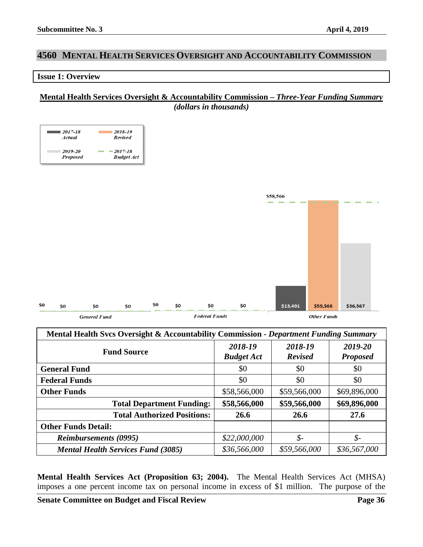# <span id="page-35-0"></span>**4560 MENTAL HEALTH SERVICES OVERSIGHT AND ACCOUNTABILITY COMMISSION**

#### <span id="page-35-1"></span>**Issue 1: Overview**

# **Mental Health Services Oversight & Accountability Commission –** *Three-Year Funding Summary (dollars in thousands)*



| Mental Health Svcs Oversight & Accountability Commission - Department Funding Summary |                              |                           |                            |
|---------------------------------------------------------------------------------------|------------------------------|---------------------------|----------------------------|
| <b>Fund Source</b>                                                                    | 2018-19<br><b>Budget Act</b> | 2018-19<br><b>Revised</b> | 2019-20<br><b>Proposed</b> |
| <b>General Fund</b>                                                                   | \$0                          | \$0                       | \$0                        |
| <b>Federal Funds</b>                                                                  | \$0                          | \$0                       | \$0                        |
| <b>Other Funds</b>                                                                    | \$58,566,000                 | \$59,566,000              | \$69,896,000               |
| <b>Total Department Funding:</b>                                                      | \$58,566,000                 | \$59,566,000              | \$69,896,000               |
| <b>Total Authorized Positions:</b>                                                    | 26.6                         | 26.6                      | 27.6                       |
| <b>Other Funds Detail:</b>                                                            |                              |                           |                            |
| <b>Reimbursements (0995)</b>                                                          | \$22,000,000                 | \$-                       | $\oint$ -                  |
| <b>Mental Health Services Fund (3085)</b>                                             | \$36,566,000                 | \$59,566,000              | \$36,567,000               |

**Mental Health Services Act (Proposition 63; 2004).** The Mental Health Services Act (MHSA) imposes a one percent income tax on personal income in excess of \$1 million. The purpose of the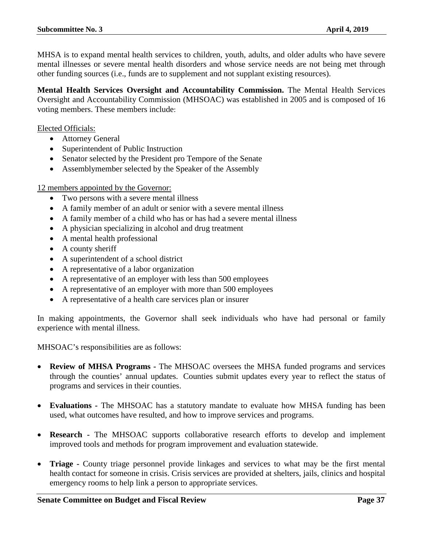MHSA is to expand mental health services to children, youth, adults, and older adults who have severe mental illnesses or severe mental health disorders and whose service needs are not being met through other funding sources (i.e., funds are to supplement and not supplant existing resources).

**Mental Health Services Oversight and Accountability Commission.** The Mental Health Services Oversight and Accountability Commission (MHSOAC) was established in 2005 and is composed of 16 voting members. These members include:

Elected Officials:

- Attorney General
- Superintendent of Public Instruction
- Senator selected by the President pro Tempore of the Senate
- Assemblymember selected by the Speaker of the Assembly

#### 12 members appointed by the Governor:

- Two persons with a severe mental illness
- A family member of an adult or senior with a severe mental illness
- A family member of a child who has or has had a severe mental illness
- A physician specializing in alcohol and drug treatment
- A mental health professional
- A county sheriff
- A superintendent of a school district
- A representative of a labor organization
- A representative of an employer with less than 500 employees
- A representative of an employer with more than 500 employees
- A representative of a health care services plan or insurer

In making appointments, the Governor shall seek individuals who have had personal or family experience with mental illness.

MHSOAC's responsibilities are as follows:

- **Review of MHSA Programs -** The MHSOAC oversees the MHSA funded programs and services through the counties' annual updates. Counties submit updates every year to reflect the status of programs and services in their counties.
- **Evaluations -** The MHSOAC has a statutory mandate to evaluate how MHSA funding has been used, what outcomes have resulted, and how to improve services and programs.
- **Research -** The MHSOAC supports collaborative research efforts to develop and implement improved tools and methods for program improvement and evaluation statewide.
- **Triage -** County triage personnel provide linkages and services to what may be the first mental health contact for someone in crisis. Crisis services are provided at shelters, jails, clinics and hospital emergency rooms to help link a person to appropriate services.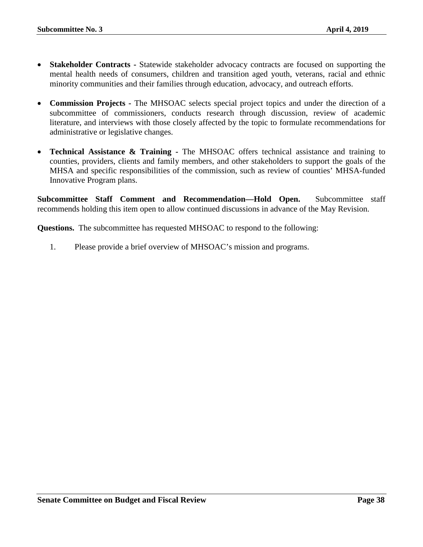- **Stakeholder Contracts -** Statewide stakeholder advocacy contracts are focused on supporting the mental health needs of consumers, children and transition aged youth, veterans, racial and ethnic minority communities and their families through education, advocacy, and outreach efforts.
- **Commission Projects -** The MHSOAC selects special project topics and under the direction of a subcommittee of commissioners, conducts research through discussion, review of academic literature, and interviews with those closely affected by the topic to formulate recommendations for administrative or legislative changes.
- **Technical Assistance & Training -** The MHSOAC offers technical assistance and training to counties, providers, clients and family members, and other stakeholders to support the goals of the MHSA and specific responsibilities of the commission, such as review of counties' MHSA-funded Innovative Program plans.

**Subcommittee Staff Comment and Recommendation—Hold Open.** Subcommittee staff recommends holding this item open to allow continued discussions in advance of the May Revision.

**Questions.** The subcommittee has requested MHSOAC to respond to the following:

1. Please provide a brief overview of MHSOAC's mission and programs.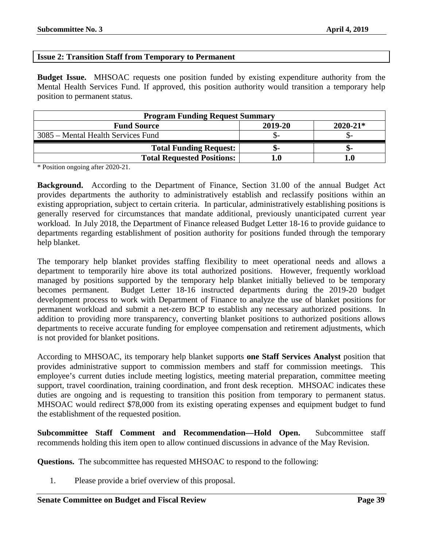# <span id="page-38-0"></span>**Issue 2: Transition Staff from Temporary to Permanent**

**Budget Issue.** MHSOAC requests one position funded by existing expenditure authority from the Mental Health Services Fund. If approved, this position authority would transition a temporary help position to permanent status.

| <b>Program Funding Request Summary</b> |         |              |  |
|----------------------------------------|---------|--------------|--|
| <b>Fund Source</b>                     | 2019-20 | $2020 - 21*$ |  |
| 3085 – Mental Health Services Fund     |         |              |  |
| <b>Total Funding Request:</b>          |         |              |  |
| <b>Total Requested Positions:</b>      |         |              |  |

\* Position ongoing after 2020-21.

**Background.** According to the Department of Finance, Section 31.00 of the annual Budget Act provides departments the authority to administratively establish and reclassify positions within an existing appropriation, subject to certain criteria. In particular, administratively establishing positions is generally reserved for circumstances that mandate additional, previously unanticipated current year workload. In July 2018, the Department of Finance released Budget Letter 18-16 to provide guidance to departments regarding establishment of position authority for positions funded through the temporary help blanket.

The temporary help blanket provides staffing flexibility to meet operational needs and allows a department to temporarily hire above its total authorized positions. However, frequently workload managed by positions supported by the temporary help blanket initially believed to be temporary becomes permanent. Budget Letter 18-16 instructed departments during the 2019-20 budget development process to work with Department of Finance to analyze the use of blanket positions for permanent workload and submit a net-zero BCP to establish any necessary authorized positions. In addition to providing more transparency, converting blanket positions to authorized positions allows departments to receive accurate funding for employee compensation and retirement adjustments, which is not provided for blanket positions.

According to MHSOAC, its temporary help blanket supports **one Staff Services Analyst** position that provides administrative support to commission members and staff for commission meetings. This employee's current duties include meeting logistics, meeting material preparation, committee meeting support, travel coordination, training coordination, and front desk reception. MHSOAC indicates these duties are ongoing and is requesting to transition this position from temporary to permanent status. MHSOAC would redirect \$78,000 from its existing operating expenses and equipment budget to fund the establishment of the requested position.

**Subcommittee Staff Comment and Recommendation—Hold Open.** Subcommittee staff recommends holding this item open to allow continued discussions in advance of the May Revision.

**Questions.** The subcommittee has requested MHSOAC to respond to the following:

1. Please provide a brief overview of this proposal.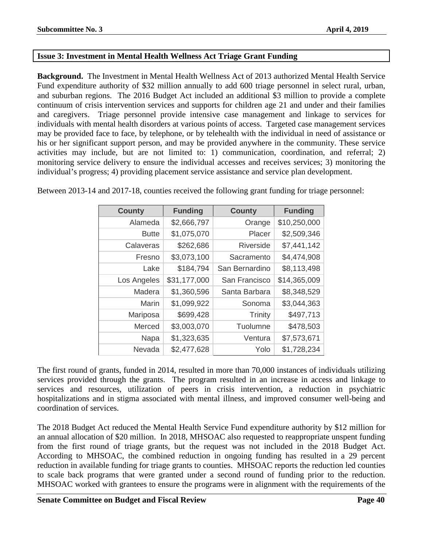# <span id="page-39-0"></span>**Issue 3: Investment in Mental Health Wellness Act Triage Grant Funding**

**Background.** The Investment in Mental Health Wellness Act of 2013 authorized Mental Health Service Fund expenditure authority of \$32 million annually to add 600 triage personnel in select rural, urban, and suburban regions. The 2016 Budget Act included an additional \$3 million to provide a complete continuum of crisis intervention services and supports for children age 21 and under and their families and caregivers. Triage personnel provide intensive case management and linkage to services for individuals with mental health disorders at various points of access. Targeted case management services may be provided face to face, by telephone, or by telehealth with the individual in need of assistance or his or her significant support person, and may be provided anywhere in the community. These service activities may include, but are not limited to: 1) communication, coordination, and referral; 2) monitoring service delivery to ensure the individual accesses and receives services; 3) monitoring the individual's progress; 4) providing placement service assistance and service plan development.

| <b>County</b> | <b>Funding</b> | <b>County</b>    | <b>Funding</b> |
|---------------|----------------|------------------|----------------|
| Alameda       | \$2,666,797    | Orange           | \$10,250,000   |
| <b>Butte</b>  | \$1,075,070    | Placer           | \$2,509,346    |
| Calaveras     | \$262,686      | <b>Riverside</b> | \$7,441,142    |
| Fresno        | \$3,073,100    | Sacramento       | \$4,474,908    |
| Lake          | \$184,794      | San Bernardino   | \$8,113,498    |
| Los Angeles   | \$31,177,000   | San Francisco    | \$14,365,009   |
| Madera        | \$1,360,596    | Santa Barbara    | \$8,348,529    |
| Marin         | \$1,099,922    | Sonoma           | \$3,044,363    |
| Mariposa      | \$699,428      | Trinity          | \$497,713      |
| Merced        | \$3,003,070    | Tuolumne         | \$478,503      |
| Napa          | \$1,323,635    | Ventura          | \$7,573,671    |
| Nevada        | \$2,477,628    | Yolo             | \$1,728,234    |

Between 2013-14 and 2017-18, counties received the following grant funding for triage personnel:

The first round of grants, funded in 2014, resulted in more than 70,000 instances of individuals utilizing services provided through the grants. The program resulted in an increase in access and linkage to services and resources, utilization of peers in crisis intervention, a reduction in psychiatric hospitalizations and in stigma associated with mental illness, and improved consumer well-being and coordination of services.

The 2018 Budget Act reduced the Mental Health Service Fund expenditure authority by \$12 million for an annual allocation of \$20 million. In 2018, MHSOAC also requested to reappropriate unspent funding from the first round of triage grants, but the request was not included in the 2018 Budget Act. According to MHSOAC, the combined reduction in ongoing funding has resulted in a 29 percent reduction in available funding for triage grants to counties. MHSOAC reports the reduction led counties to scale back programs that were granted under a second round of funding prior to the reduction. MHSOAC worked with grantees to ensure the programs were in alignment with the requirements of the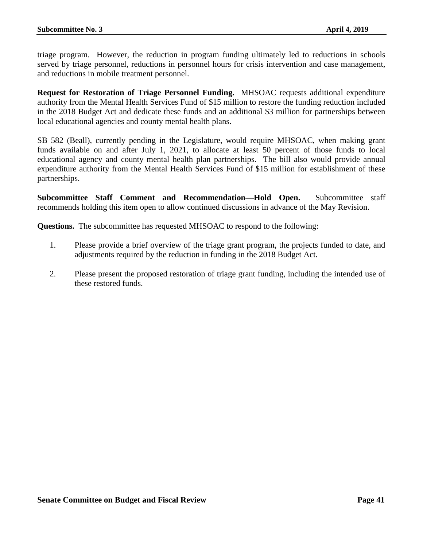triage program. However, the reduction in program funding ultimately led to reductions in schools served by triage personnel, reductions in personnel hours for crisis intervention and case management, and reductions in mobile treatment personnel.

**Request for Restoration of Triage Personnel Funding.** MHSOAC requests additional expenditure authority from the Mental Health Services Fund of \$15 million to restore the funding reduction included in the 2018 Budget Act and dedicate these funds and an additional \$3 million for partnerships between local educational agencies and county mental health plans.

SB 582 (Beall), currently pending in the Legislature, would require MHSOAC, when making grant funds available on and after July 1, 2021, to allocate at least 50 percent of those funds to local educational agency and county mental health plan partnerships. The bill also would provide annual expenditure authority from the Mental Health Services Fund of \$15 million for establishment of these partnerships.

**Subcommittee Staff Comment and Recommendation—Hold Open.** Subcommittee staff recommends holding this item open to allow continued discussions in advance of the May Revision.

**Questions.** The subcommittee has requested MHSOAC to respond to the following:

- 1. Please provide a brief overview of the triage grant program, the projects funded to date, and adjustments required by the reduction in funding in the 2018 Budget Act.
- 2. Please present the proposed restoration of triage grant funding, including the intended use of these restored funds.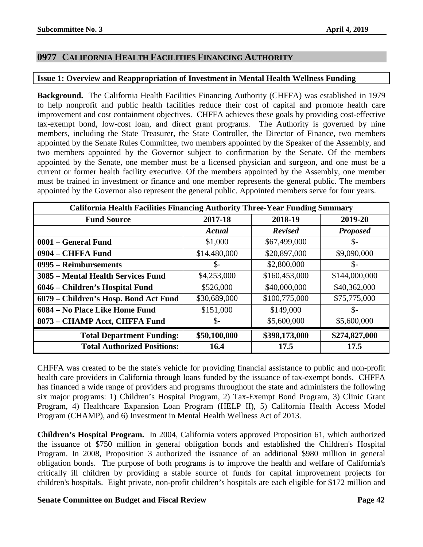# <span id="page-41-0"></span>**0977 CALIFORNIA HEALTH FACILITIES FINANCING AUTHORITY**

# <span id="page-41-1"></span>**Issue 1: Overview and Reappropriation of Investment in Mental Health Wellness Funding**

**Background.** The California Health Facilities Financing Authority (CHFFA) was established in 1979 to help nonprofit and public health facilities reduce their cost of capital and promote health care improvement and cost containment objectives. CHFFA achieves these goals by providing cost-effective tax-exempt bond, low-cost loan, and direct grant programs. The Authority is governed by nine members, including the State Treasurer, the State Controller, the Director of Finance, two members appointed by the Senate Rules Committee, two members appointed by the Speaker of the Assembly, and two members appointed by the Governor subject to confirmation by the Senate. Of the members appointed by the Senate, one member must be a licensed physician and surgeon, and one must be a current or former health facility executive. Of the members appointed by the Assembly, one member must be trained in investment or finance and one member represents the general public. The members appointed by the Governor also represent the general public. Appointed members serve for four years.

| California Health Facilities Financing Authority Three-Year Funding Summary |                 |                |                 |
|-----------------------------------------------------------------------------|-----------------|----------------|-----------------|
| <b>Fund Source</b>                                                          | 2017-18         | 2018-19        | 2019-20         |
|                                                                             | Actual          | <b>Revised</b> | <b>Proposed</b> |
| 0001 – General Fund                                                         | \$1,000         | \$67,499,000   | \$-             |
| 0904 – CHFFA Fund                                                           | \$14,480,000    | \$20,897,000   | \$9,090,000     |
| 0995 – Reimbursements                                                       | $\mathcal{S}$ - | \$2,800,000    | \$-             |
| 3085 – Mental Health Services Fund                                          | \$4,253,000     | \$160,453,000  | \$144,000,000   |
| 6046 – Children's Hospital Fund                                             | \$526,000       | \$40,000,000   | \$40,362,000    |
| 6079 – Children's Hosp. Bond Act Fund                                       | \$30,689,000    | \$100,775,000  | \$75,775,000    |
| 6084 – No Place Like Home Fund                                              | \$151,000       | \$149,000      | \$-             |
| 8073 - CHAMP Acct, CHFFA Fund                                               | $\mathbb{S}$ -  | \$5,600,000    | \$5,600,000     |
| <b>Total Department Funding:</b>                                            | \$50,100,000    | \$398,173,000  | \$274,827,000   |
| <b>Total Authorized Positions:</b>                                          | 16.4            | 17.5           | 17.5            |

CHFFA was created to be the state's vehicle for providing financial assistance to public and non-profit health care providers in California through loans funded by the issuance of tax-exempt bonds. CHFFA has financed a wide range of providers and programs throughout the state and administers the following six major programs: 1) Children's Hospital Program, 2) Tax-Exempt Bond Program, 3) Clinic Grant Program, 4) Healthcare Expansion Loan Program (HELP II), 5) California Health Access Model Program (CHAMP), and 6) Investment in Mental Health Wellness Act of 2013.

**Children's Hospital Program.** In 2004, California voters approved Proposition 61, which authorized the issuance of \$750 million in general obligation bonds and established the Children's Hospital Program. In 2008, Proposition 3 authorized the issuance of an additional \$980 million in general obligation bonds. The purpose of both programs is to improve the health and welfare of California's critically ill children by providing a stable source of funds for capital improvement projects for children's hospitals. Eight private, non-profit children's hospitals are each eligible for \$172 million and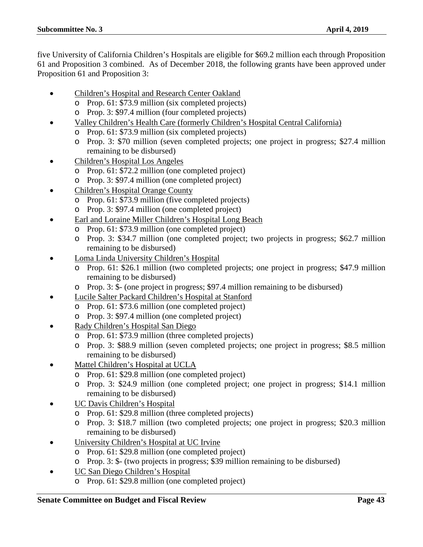five University of California Children's Hospitals are eligible for \$69.2 million each through Proposition 61 and Proposition 3 combined. As of December 2018, the following grants have been approved under Proposition 61 and Proposition 3:

- Children's Hospital and Research Center Oakland
	- o Prop. 61: \$73.9 million (six completed projects)
	- o Prop. 3: \$97.4 million (four completed projects)
- Valley Children's Health Care (formerly Children's Hospital Central California)
	- o Prop. 61: \$73.9 million (six completed projects)
	- o Prop. 3: \$70 million (seven completed projects; one project in progress; \$27.4 million remaining to be disbursed)
- Children's Hospital Los Angeles
	- o Prop. 61: \$72.2 million (one completed project)
	- o Prop. 3: \$97.4 million (one completed project)
- Children's Hospital Orange County
	- o Prop. 61: \$73.9 million (five completed projects)
	- o Prop. 3: \$97.4 million (one completed project)
- Earl and Loraine Miller Children's Hospital Long Beach
	- o Prop. 61: \$73.9 million (one completed project)
	- o Prop. 3: \$34.7 million (one completed project; two projects in progress; \$62.7 million remaining to be disbursed)
- Loma Linda University Children's Hospital
	- o Prop. 61: \$26.1 million (two completed projects; one project in progress; \$47.9 million remaining to be disbursed)
	- o Prop. 3: \$- (one project in progress; \$97.4 million remaining to be disbursed)
- Lucile Salter Packard Children's Hospital at Stanford
	- o Prop. 61: \$73.6 million (one completed project)
	- o Prop. 3: \$97.4 million (one completed project)
- Rady Children's Hospital San Diego
	- o Prop. 61: \$73.9 million (three completed projects)
	- o Prop. 3: \$88.9 million (seven completed projects; one project in progress; \$8.5 million remaining to be disbursed)
- Mattel Children's Hospital at UCLA
	- o Prop. 61: \$29.8 million (one completed project)
	- o Prop. 3: \$24.9 million (one completed project; one project in progress; \$14.1 million remaining to be disbursed)
- UC Davis Children's Hospital
	- o Prop. 61: \$29.8 million (three completed projects)
	- o Prop. 3: \$18.7 million (two completed projects; one project in progress; \$20.3 million remaining to be disbursed)
- University Children's Hospital at UC Irvine
	- o Prop. 61: \$29.8 million (one completed project)
	- o Prop. 3: \$- (two projects in progress; \$39 million remaining to be disbursed)
- UC San Diego Children's Hospital
	- o Prop. 61: \$29.8 million (one completed project)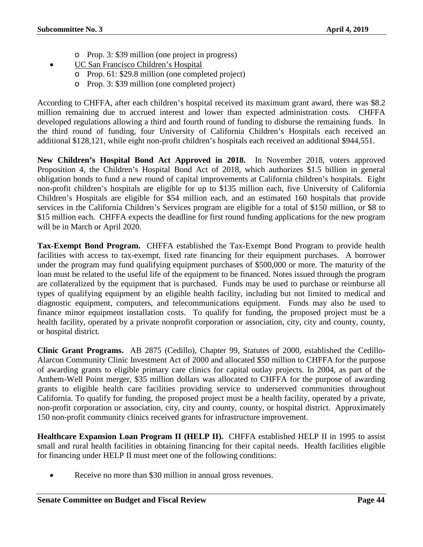- o Prop. 3: \$39 million (one project in progress)
- UC San Francisco Children's Hospital
	- o Prop. 61: \$29.8 million (one completed project)
	- o Prop. 3: \$39 million (one completed project)

According to CHFFA, after each children's hospital received its maximum grant award, there was \$8.2 million remaining due to accrued interest and lower than expected administration costs. CHFFA developed regulations allowing a third and fourth round of funding to disburse the remaining funds. In the third round of funding, four University of California Children's Hospitals each received an additional \$128,121, while eight non-profit children's hospitals each received an additional \$944,551.

**New Children's Hospital Bond Act Approved in 2018.** In November 2018, voters approved Proposition 4, the Children's Hospital Bond Act of 2018, which authorizes \$1.5 billion in general obligation bonds to fund a new round of capital improvements at California children's hospitals. Eight non-profit children's hospitals are eligible for up to \$135 million each, five University of California Children's Hospitals are eligible for \$54 million each, and an estimated 160 hospitals that provide services in the California Children's Services program are eligible for a total of \$150 million, or \$8 to \$15 million each. CHFFA expects the deadline for first round funding applications for the new program will be in March or April 2020.

**Tax-Exempt Bond Program.** CHFFA established the Tax-Exempt Bond Program to provide health facilities with access to tax-exempt, fixed rate financing for their equipment purchases. A borrower under the program may fund qualifying equipment purchases of \$500,000 or more. The maturity of the loan must be related to the useful life of the equipment to be financed. Notes issued through the program are collateralized by the equipment that is purchased. Funds may be used to purchase or reimburse all types of qualifying equipment by an eligible health facility, including but not limited to medical and diagnostic equipment, computers, and telecommunications equipment. Funds may also be used to finance minor equipment installation costs. To qualify for funding, the proposed project must be a health facility, operated by a private nonprofit corporation or association, city, city and county, county, or hospital district.

**Clinic Grant Programs.** AB 2875 (Cedillo), Chapter 99, Statutes of 2000, established the Cedillo-Alarcon Community Clinic Investment Act of 2000 and allocated \$50 million to CHFFA for the purpose of awarding grants to eligible primary care clinics for capital outlay projects. In 2004, as part of the Anthem-Well Point merger, \$35 million dollars was allocated to CHFFA for the purpose of awarding grants to eligible health care facilities providing service to underserved communities throughout California. To qualify for funding, the proposed project must be a health facility, operated by a private, non-profit corporation or association, city, city and county, county, or hospital district. Approximately 150 non-profit community clinics received grants for infrastructure improvement.

**Healthcare Expansion Loan Program II (HELP II).** CHFFA established HELP II in 1995 to assist small and rural health facilities in obtaining financing for their capital needs. Health facilities eligible for financing under HELP II must meet one of the following conditions:

Receive no more than \$30 million in annual gross revenues.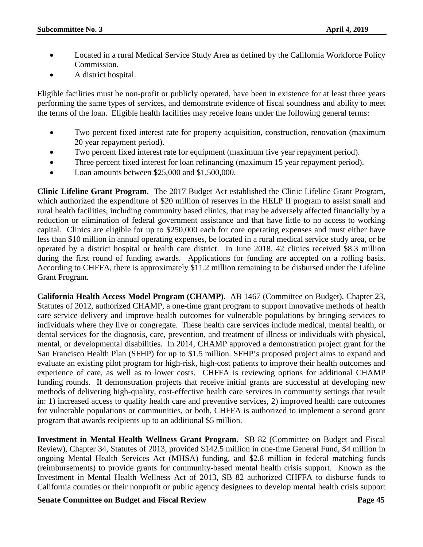- Located in a rural Medical Service Study Area as defined by the California Workforce Policy Commission.
- A district hospital.

Eligible facilities must be non-profit or publicly operated, have been in existence for at least three years performing the same types of services, and demonstrate evidence of fiscal soundness and ability to meet the terms of the loan. Eligible health facilities may receive loans under the following general terms:

- Two percent fixed interest rate for property acquisition, construction, renovation (maximum 20 year repayment period).
- Two percent fixed interest rate for equipment (maximum five year repayment period).
- Three percent fixed interest for loan refinancing (maximum 15 year repayment period).
- Loan amounts between \$25,000 and \$1,500,000.

**Clinic Lifeline Grant Program.** The 2017 Budget Act established the Clinic Lifeline Grant Program, which authorized the expenditure of \$20 million of reserves in the HELP II program to assist small and rural health facilities, including community based clinics, that may be adversely affected financially by a reduction or elimination of federal government assistance and that have little to no access to working capital. Clinics are eligible for up to \$250,000 each for core operating expenses and must either have less than \$10 million in annual operating expenses, be located in a rural medical service study area, or be operated by a district hospital or health care district. In June 2018, 42 clinics received \$8.3 million during the first round of funding awards. Applications for funding are accepted on a rolling basis. According to CHFFA, there is approximately \$11.2 million remaining to be disbursed under the Lifeline Grant Program.

**California Health Access Model Program (CHAMP).** AB 1467 (Committee on Budget), Chapter 23, Statutes of 2012, authorized CHAMP, a one-time grant program to support innovative methods of health care service delivery and improve health outcomes for vulnerable populations by bringing services to individuals where they live or congregate. These health care services include medical, mental health, or dental services for the diagnosis, care, prevention, and treatment of illness or individuals with physical, mental, or developmental disabilities. In 2014, CHAMP approved a demonstration project grant for the San Francisco Health Plan (SFHP) for up to \$1.5 million. SFHP's proposed project aims to expand and evaluate an existing pilot program for high-risk, high-cost patients to improve their health outcomes and experience of care, as well as to lower costs. CHFFA is reviewing options for additional CHAMP funding rounds. If demonstration projects that receive initial grants are successful at developing new methods of delivering high-quality, cost-effective health care services in community settings that result in: 1) increased access to quality health care and preventive services, 2) improved health care outcomes for vulnerable populations or communities, or both, CHFFA is authorized to implement a second grant program that awards recipients up to an additional \$5 million.

**Investment in Mental Health Wellness Grant Program.** SB 82 (Committee on Budget and Fiscal Review), Chapter 34, Statutes of 2013, provided \$142.5 million in one-time General Fund, \$4 million in ongoing Mental Health Services Act (MHSA) funding, and \$2.8 million in federal matching funds (reimbursements) to provide grants for community-based mental health crisis support. Known as the Investment in Mental Health Wellness Act of 2013, SB 82 authorized CHFFA to disburse funds to California counties or their nonprofit or public agency designees to develop mental health crisis support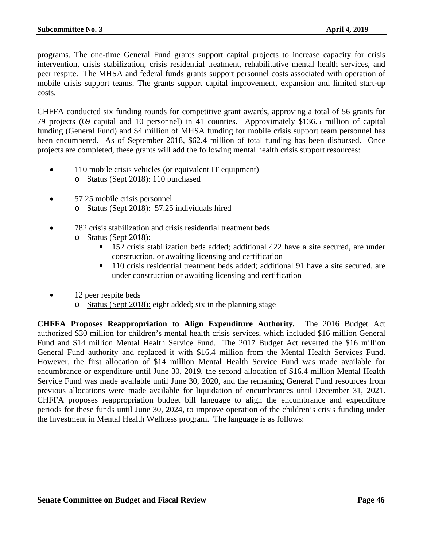programs. The one-time General Fund grants support capital projects to increase capacity for crisis intervention, crisis stabilization, crisis residential treatment, rehabilitative mental health services, and peer respite. The MHSA and federal funds grants support personnel costs associated with operation of mobile crisis support teams. The grants support capital improvement, expansion and limited start-up costs.

CHFFA conducted six funding rounds for competitive grant awards, approving a total of 56 grants for 79 projects (69 capital and 10 personnel) in 41 counties. Approximately \$136.5 million of capital funding (General Fund) and \$4 million of MHSA funding for mobile crisis support team personnel has been encumbered. As of September 2018, \$62.4 million of total funding has been disbursed. Once projects are completed, these grants will add the following mental health crisis support resources:

- 110 mobile crisis vehicles (or equivalent IT equipment) o Status (Sept 2018): 110 purchased
- 57.25 mobile crisis personnel o Status (Sept 2018): 57.25 individuals hired
- 782 crisis stabilization and crisis residential treatment beds
	- o Status (Sept 2018):
		- <sup>152</sup> crisis stabilization beds added; additional 422 have a site secured, are under construction, or awaiting licensing and certification
		- <sup>110</sup> crisis residential treatment beds added; additional 91 have a site secured, are under construction or awaiting licensing and certification
- 12 peer respite beds
	- o Status (Sept 2018): eight added; six in the planning stage

**CHFFA Proposes Reappropriation to Align Expenditure Authority.** The 2016 Budget Act authorized \$30 million for children's mental health crisis services, which included \$16 million General Fund and \$14 million Mental Health Service Fund. The 2017 Budget Act reverted the \$16 million General Fund authority and replaced it with \$16.4 million from the Mental Health Services Fund. However, the first allocation of \$14 million Mental Health Service Fund was made available for encumbrance or expenditure until June 30, 2019, the second allocation of \$16.4 million Mental Health Service Fund was made available until June 30, 2020, and the remaining General Fund resources from previous allocations were made available for liquidation of encumbrances until December 31, 2021. CHFFA proposes reappropriation budget bill language to align the encumbrance and expenditure periods for these funds until June 30, 2024, to improve operation of the children's crisis funding under the Investment in Mental Health Wellness program. The language is as follows: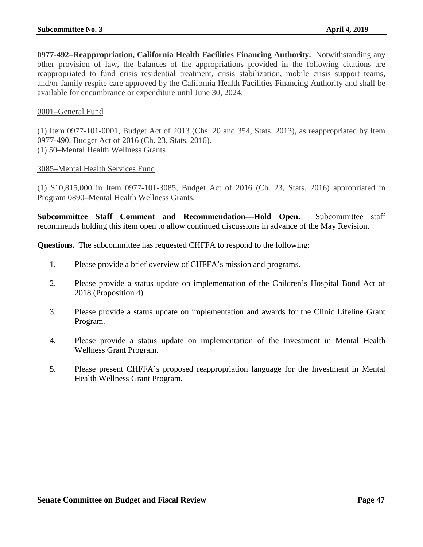**0977-492–Reappropriation, California Health Facilities Financing Authority.** Notwithstanding any other provision of law, the balances of the appropriations provided in the following citations are reappropriated to fund crisis residential treatment, crisis stabilization, mobile crisis support teams, and/or family respite care approved by the California Health Facilities Financing Authority and shall be available for encumbrance or expenditure until June 30, 2024:

# 0001–General Fund

(1) Item 0977-101-0001, Budget Act of 2013 (Chs. 20 and 354, Stats. 2013), as reappropriated by Item 0977-490, Budget Act of 2016 (Ch. 23, Stats. 2016). (1) 50–Mental Health Wellness Grants

#### 3085–Mental Health Services Fund

(1) \$10,815,000 in Item 0977-101-3085, Budget Act of 2016 (Ch. 23, Stats. 2016) appropriated in Program 0890–Mental Health Wellness Grants.

**Subcommittee Staff Comment and Recommendation—Hold Open.** Subcommittee staff recommends holding this item open to allow continued discussions in advance of the May Revision.

**Questions.** The subcommittee has requested CHFFA to respond to the following:

- 1. Please provide a brief overview of CHFFA's mission and programs.
- 2. Please provide a status update on implementation of the Children's Hospital Bond Act of 2018 (Proposition 4).
- 3. Please provide a status update on implementation and awards for the Clinic Lifeline Grant Program.
- 4. Please provide a status update on implementation of the Investment in Mental Health Wellness Grant Program.
- 5. Please present CHFFA's proposed reappropriation language for the Investment in Mental Health Wellness Grant Program.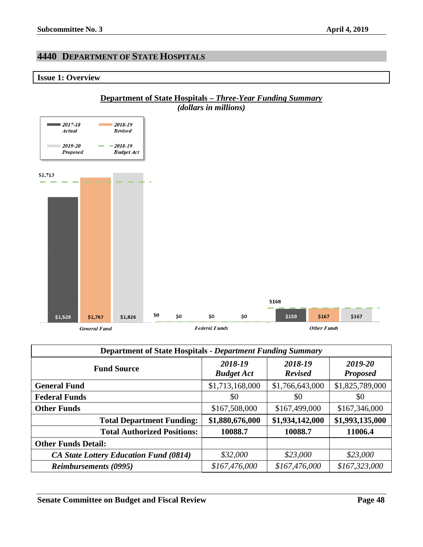# <span id="page-47-0"></span>**4440 DEPARTMENT OF STATE HOSPITALS**

# <span id="page-47-1"></span>**Issue 1: Overview**



| <b>Department of State Hospitals - Department Funding Summary</b> |                              |                           |                            |
|-------------------------------------------------------------------|------------------------------|---------------------------|----------------------------|
| <b>Fund Source</b>                                                | 2018-19<br><b>Budget Act</b> | 2018-19<br><b>Revised</b> | 2019-20<br><b>Proposed</b> |
| <b>General Fund</b>                                               | \$1,713,168,000              | \$1,766,643,000           | \$1,825,789,000            |
| <b>Federal Funds</b>                                              | \$0                          | \$0                       | \$0                        |
| <b>Other Funds</b>                                                | \$167,508,000                | \$167,499,000             | \$167,346,000              |
| <b>Total Department Funding:</b>                                  | \$1,880,676,000              | \$1,934,142,000           | \$1,993,135,000            |
| <b>Total Authorized Positions:</b>                                | 10088.7                      | 10088.7                   | 11006.4                    |
| <b>Other Funds Detail:</b>                                        |                              |                           |                            |
| <b>CA State Lottery Education Fund (0814)</b>                     | \$32,000                     | \$23,000                  | \$23,000                   |
| <b>Reimbursements (0995)</b>                                      | \$167,476,000                | \$167,476,000             | \$167,323,000              |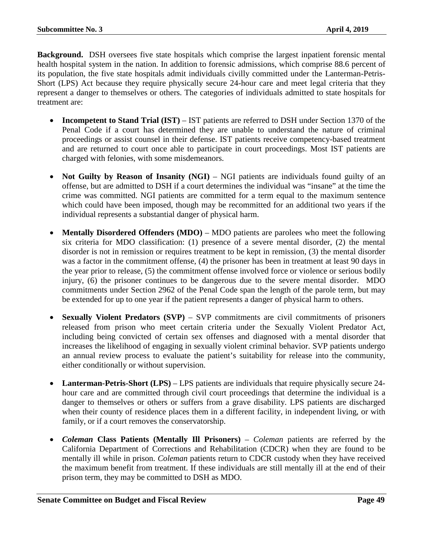**Background.** DSH oversees five state hospitals which comprise the largest inpatient forensic mental health hospital system in the nation. In addition to forensic admissions, which comprise 88.6 percent of its population, the five state hospitals admit individuals civilly committed under the Lanterman-Petris-Short (LPS) Act because they require physically secure 24-hour care and meet legal criteria that they represent a danger to themselves or others. The categories of individuals admitted to state hospitals for treatment are:

- **Incompetent to Stand Trial (IST)** IST patients are referred to DSH under Section 1370 of the Penal Code if a court has determined they are unable to understand the nature of criminal proceedings or assist counsel in their defense. IST patients receive competency-based treatment and are returned to court once able to participate in court proceedings. Most IST patients are charged with felonies, with some misdemeanors.
- **Not Guilty by Reason of Insanity (NGI)** NGI patients are individuals found guilty of an offense, but are admitted to DSH if a court determines the individual was "insane" at the time the crime was committed. NGI patients are committed for a term equal to the maximum sentence which could have been imposed, though may be recommitted for an additional two years if the individual represents a substantial danger of physical harm.
- **Mentally Disordered Offenders (MDO)** MDO patients are parolees who meet the following six criteria for MDO classification: (1) presence of a severe mental disorder, (2) the mental disorder is not in remission or requires treatment to be kept in remission, (3) the mental disorder was a factor in the commitment offense, (4) the prisoner has been in treatment at least 90 days in the year prior to release, (5) the commitment offense involved force or violence or serious bodily injury, (6) the prisoner continues to be dangerous due to the severe mental disorder. MDO commitments under Section 2962 of the Penal Code span the length of the parole term, but may be extended for up to one year if the patient represents a danger of physical harm to others.
- **Sexually Violent Predators (SVP)** SVP commitments are civil commitments of prisoners released from prison who meet certain criteria under the Sexually Violent Predator Act, including being convicted of certain sex offenses and diagnosed with a mental disorder that increases the likelihood of engaging in sexually violent criminal behavior. SVP patients undergo an annual review process to evaluate the patient's suitability for release into the community, either conditionally or without supervision.
- **Lanterman-Petris-Short (LPS)** LPS patients are individuals that require physically secure 24 hour care and are committed through civil court proceedings that determine the individual is a danger to themselves or others or suffers from a grave disability. LPS patients are discharged when their county of residence places them in a different facility, in independent living, or with family, or if a court removes the conservatorship.
- *Coleman* **Class Patients (Mentally Ill Prisoners)** *Coleman* patients are referred by the California Department of Corrections and Rehabilitation (CDCR) when they are found to be mentally ill while in prison. *Coleman* patients return to CDCR custody when they have received the maximum benefit from treatment. If these individuals are still mentally ill at the end of their prison term, they may be committed to DSH as MDO.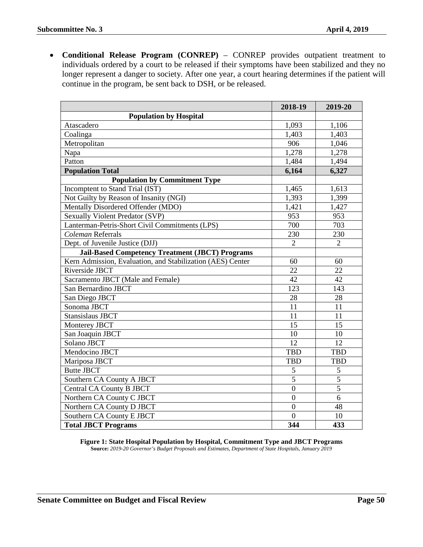• **Conditional Release Program (CONREP)** – CONREP provides outpatient treatment to individuals ordered by a court to be released if their symptoms have been stabilized and they no longer represent a danger to society. After one year, a court hearing determines if the patient will continue in the program, be sent back to DSH, or be released.

|                                                            | 2018-19        | 2019-20        |
|------------------------------------------------------------|----------------|----------------|
| <b>Population by Hospital</b>                              |                |                |
| Atascadero                                                 | 1,093          | 1,106          |
| Coalinga                                                   | 1,403          | 1,403          |
| Metropolitan                                               | 906            | 1,046          |
| Napa                                                       | 1,278          | 1,278          |
| Patton                                                     | 1,484          | 1,494          |
| <b>Population Total</b>                                    | 6,164          | 6,327          |
| <b>Population by Commitment Type</b>                       |                |                |
| Incomptent to Stand Trial (IST)                            | 1,465          | 1,613          |
| Not Guilty by Reason of Insanity (NGI)                     | 1,393          | 1,399          |
| Mentally Disordered Offender (MDO)                         | 1,421          | 1,427          |
| <b>Sexually Violent Predator (SVP)</b>                     | 953            | 953            |
| Lanterman-Petris-Short Civil Commitments (LPS)             | 700            | 703            |
| Coleman Referrals                                          | 230            | 230            |
| Dept. of Juvenile Justice (DJJ)                            | $\overline{2}$ | $\overline{2}$ |
| <b>Jail-Based Competency Treatment (JBCT) Programs</b>     |                |                |
| Kern Admission, Evaluation, and Stabilization (AES) Center | 60             | 60             |
| Riverside JBCT                                             | 22             | 22             |
| Sacramento JBCT (Male and Female)                          | 42             | 42             |
| San Bernardino JBCT                                        | 123            | 143            |
| San Diego JBCT                                             | 28             | 28             |
| Sonoma JBCT                                                | 11             | 11             |
| <b>Stansislaus JBCT</b>                                    | 11             | 11             |
| Monterey JBCT                                              | 15             | 15             |
| San Joaquin JBCT                                           | 10             | 10             |
| <b>Solano JBCT</b>                                         | 12             | 12             |
| Mendocino JBCT                                             | <b>TBD</b>     | <b>TBD</b>     |
| Mariposa JBCT                                              | <b>TBD</b>     | <b>TBD</b>     |
| <b>Butte JBCT</b>                                          | 5              | 5              |
| Southern CA County A JBCT                                  | $\overline{5}$ | $\overline{5}$ |
| <b>Central CA County B JBCT</b>                            | $\overline{0}$ | $\overline{5}$ |
| Northern CA County C JBCT                                  | $\overline{0}$ | 6              |
| Northern CA County D JBCT                                  | $\overline{0}$ | 48             |
| Southern CA County E JBCT                                  | $\Omega$       | 10             |
| <b>Total JBCT Programs</b>                                 | 344            | 433            |

**Figure 1: State Hospital Population by Hospital, Commitment Type and JBCT Programs Source:** *2019-20 Governor's Budget Proposals and Estimates, Department of State Hospitals, January 2019*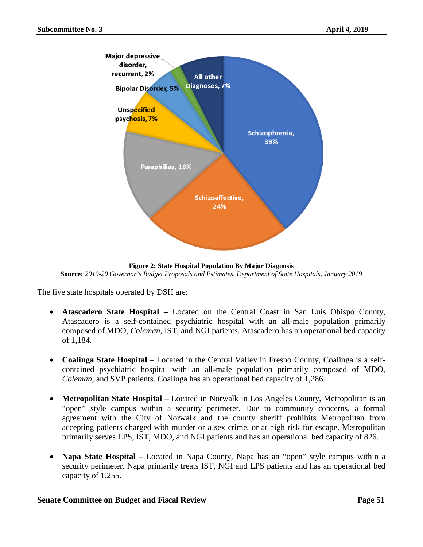

**Figure 2: State Hospital Population By Major Diagnosis Source:** *2019-20 Governor's Budget Proposals and Estimates, Department of State Hospitals, January 2019*

The five state hospitals operated by DSH are:

- **Atascadero State Hospital –** Located on the Central Coast in San Luis Obispo County, Atascadero is a self-contained psychiatric hospital with an all-male population primarily composed of MDO, *Coleman*, IST, and NGI patients. Atascadero has an operational bed capacity of 1,184.
- **Coalinga State Hospital** Located in the Central Valley in Fresno County, Coalinga is a selfcontained psychiatric hospital with an all-male population primarily composed of MDO, *Coleman*, and SVP patients. Coalinga has an operational bed capacity of 1,286.
- **Metropolitan State Hospital** Located in Norwalk in Los Angeles County, Metropolitan is an "open" style campus within a security perimeter. Due to community concerns, a formal agreement with the City of Norwalk and the county sheriff prohibits Metropolitan from accepting patients charged with murder or a sex crime, or at high risk for escape. Metropolitan primarily serves LPS, IST, MDO, and NGI patients and has an operational bed capacity of 826.
- **Napa State Hospital** Located in Napa County, Napa has an "open" style campus within a security perimeter. Napa primarily treats IST, NGI and LPS patients and has an operational bed capacity of 1,255.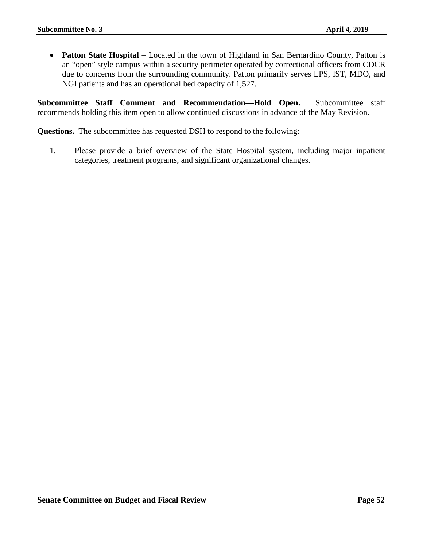• **Patton State Hospital** – Located in the town of Highland in San Bernardino County, Patton is an "open" style campus within a security perimeter operated by correctional officers from CDCR due to concerns from the surrounding community. Patton primarily serves LPS, IST, MDO, and NGI patients and has an operational bed capacity of 1,527.

**Subcommittee Staff Comment and Recommendation—Hold Open.** Subcommittee staff recommends holding this item open to allow continued discussions in advance of the May Revision.

**Questions.** The subcommittee has requested DSH to respond to the following:

1. Please provide a brief overview of the State Hospital system, including major inpatient categories, treatment programs, and significant organizational changes.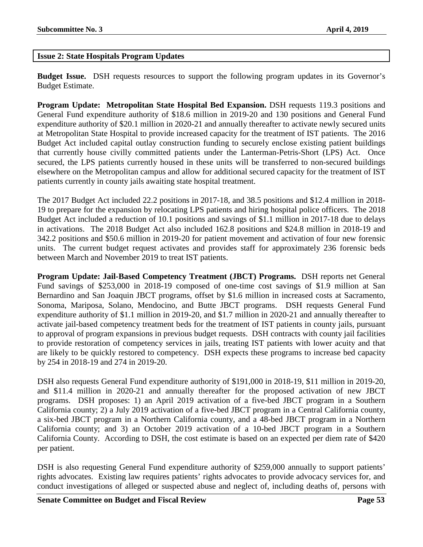# <span id="page-52-0"></span>**Issue 2: State Hospitals Program Updates**

**Budget Issue.** DSH requests resources to support the following program updates in its Governor's Budget Estimate.

**Program Update: Metropolitan State Hospital Bed Expansion.** DSH requests 119.3 positions and General Fund expenditure authority of \$18.6 million in 2019-20 and 130 positions and General Fund expenditure authority of \$20.1 million in 2020-21 and annually thereafter to activate newly secured units at Metropolitan State Hospital to provide increased capacity for the treatment of IST patients. The 2016 Budget Act included capital outlay construction funding to securely enclose existing patient buildings that currently house civilly committed patients under the Lanterman-Petris-Short (LPS) Act. Once secured, the LPS patients currently housed in these units will be transferred to non-secured buildings elsewhere on the Metropolitan campus and allow for additional secured capacity for the treatment of IST patients currently in county jails awaiting state hospital treatment.

The 2017 Budget Act included 22.2 positions in 2017-18, and 38.5 positions and \$12.4 million in 2018- 19 to prepare for the expansion by relocating LPS patients and hiring hospital police officers. The 2018 Budget Act included a reduction of 10.1 positions and savings of \$1.1 million in 2017-18 due to delays in activations. The 2018 Budget Act also included 162.8 positions and \$24.8 million in 2018-19 and 342.2 positions and \$50.6 million in 2019-20 for patient movement and activation of four new forensic units. The current budget request activates and provides staff for approximately 236 forensic beds between March and November 2019 to treat IST patients.

**Program Update: Jail-Based Competency Treatment (JBCT) Programs.** DSH reports net General Fund savings of \$253,000 in 2018-19 composed of one-time cost savings of \$1.9 million at San Bernardino and San Joaquin JBCT programs, offset by \$1.6 million in increased costs at Sacramento, Sonoma, Mariposa, Solano, Mendocino, and Butte JBCT programs. DSH requests General Fund expenditure authority of \$1.1 million in 2019-20, and \$1.7 million in 2020-21 and annually thereafter to activate jail-based competency treatment beds for the treatment of IST patients in county jails, pursuant to approval of program expansions in previous budget requests. DSH contracts with county jail facilities to provide restoration of competency services in jails, treating IST patients with lower acuity and that are likely to be quickly restored to competency. DSH expects these programs to increase bed capacity by 254 in 2018-19 and 274 in 2019-20.

DSH also requests General Fund expenditure authority of \$191,000 in 2018-19, \$11 million in 2019-20, and \$11.4 million in 2020-21 and annually thereafter for the proposed activation of new JBCT programs. DSH proposes: 1) an April 2019 activation of a five-bed JBCT program in a Southern California county; 2) a July 2019 activation of a five-bed JBCT program in a Central California county, a six-bed JBCT program in a Northern California county, and a 48-bed JBCT program in a Northern California county; and 3) an October 2019 activation of a 10-bed JBCT program in a Southern California County. According to DSH, the cost estimate is based on an expected per diem rate of \$420 per patient.

DSH is also requesting General Fund expenditure authority of \$259,000 annually to support patients' rights advocates. Existing law requires patients' rights advocates to provide advocacy services for, and conduct investigations of alleged or suspected abuse and neglect of, including deaths of, persons with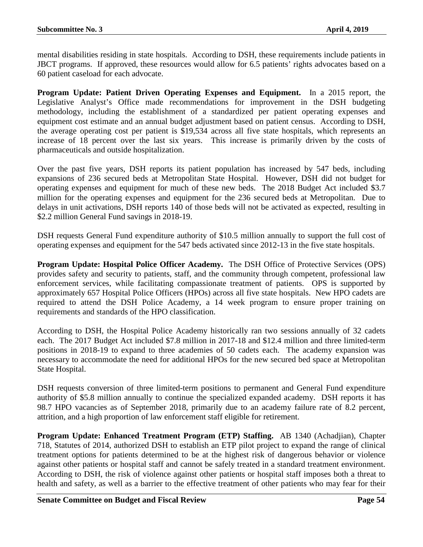mental disabilities residing in state hospitals. According to DSH, these requirements include patients in JBCT programs. If approved, these resources would allow for 6.5 patients' rights advocates based on a 60 patient caseload for each advocate.

**Program Update: Patient Driven Operating Expenses and Equipment.** In a 2015 report, the Legislative Analyst's Office made recommendations for improvement in the DSH budgeting methodology, including the establishment of a standardized per patient operating expenses and equipment cost estimate and an annual budget adjustment based on patient census. According to DSH, the average operating cost per patient is \$19,534 across all five state hospitals, which represents an increase of 18 percent over the last six years. This increase is primarily driven by the costs of pharmaceuticals and outside hospitalization.

Over the past five years, DSH reports its patient population has increased by 547 beds, including expansions of 236 secured beds at Metropolitan State Hospital. However, DSH did not budget for operating expenses and equipment for much of these new beds. The 2018 Budget Act included \$3.7 million for the operating expenses and equipment for the 236 secured beds at Metropolitan. Due to delays in unit activations, DSH reports 140 of those beds will not be activated as expected, resulting in \$2.2 million General Fund savings in 2018-19.

DSH requests General Fund expenditure authority of \$10.5 million annually to support the full cost of operating expenses and equipment for the 547 beds activated since 2012-13 in the five state hospitals.

**Program Update: Hospital Police Officer Academy.** The DSH Office of Protective Services (OPS) provides safety and security to patients, staff, and the community through competent, professional law enforcement services, while facilitating compassionate treatment of patients. OPS is supported by approximately 657 Hospital Police Officers (HPOs) across all five state hospitals. New HPO cadets are required to attend the DSH Police Academy, a 14 week program to ensure proper training on requirements and standards of the HPO classification.

According to DSH, the Hospital Police Academy historically ran two sessions annually of 32 cadets each. The 2017 Budget Act included \$7.8 million in 2017-18 and \$12.4 million and three limited-term positions in 2018-19 to expand to three academies of 50 cadets each. The academy expansion was necessary to accommodate the need for additional HPOs for the new secured bed space at Metropolitan State Hospital.

DSH requests conversion of three limited-term positions to permanent and General Fund expenditure authority of \$5.8 million annually to continue the specialized expanded academy. DSH reports it has 98.7 HPO vacancies as of September 2018, primarily due to an academy failure rate of 8.2 percent, attrition, and a high proportion of law enforcement staff eligible for retirement.

**Program Update: Enhanced Treatment Program (ETP) Staffing.** AB 1340 (Achadjian), Chapter 718, Statutes of 2014, authorized DSH to establish an ETP pilot project to expand the range of clinical treatment options for patients determined to be at the highest risk of dangerous behavior or violence against other patients or hospital staff and cannot be safely treated in a standard treatment environment. According to DSH, the risk of violence against other patients or hospital staff imposes both a threat to health and safety, as well as a barrier to the effective treatment of other patients who may fear for their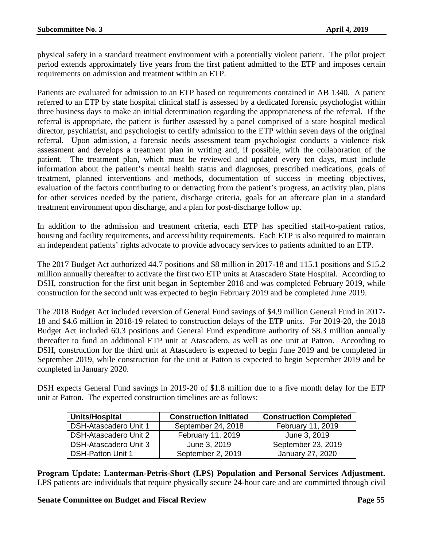physical safety in a standard treatment environment with a potentially violent patient. The pilot project period extends approximately five years from the first patient admitted to the ETP and imposes certain requirements on admission and treatment within an ETP.

Patients are evaluated for admission to an ETP based on requirements contained in AB 1340. A patient referred to an ETP by state hospital clinical staff is assessed by a dedicated forensic psychologist within three business days to make an initial determination regarding the appropriateness of the referral. If the referral is appropriate, the patient is further assessed by a panel comprised of a state hospital medical director, psychiatrist, and psychologist to certify admission to the ETP within seven days of the original referral. Upon admission, a forensic needs assessment team psychologist conducts a violence risk assessment and develops a treatment plan in writing and, if possible, with the collaboration of the patient. The treatment plan, which must be reviewed and updated every ten days, must include information about the patient's mental health status and diagnoses, prescribed medications, goals of treatment, planned interventions and methods, documentation of success in meeting objectives, evaluation of the factors contributing to or detracting from the patient's progress, an activity plan, plans for other services needed by the patient, discharge criteria, goals for an aftercare plan in a standard treatment environment upon discharge, and a plan for post-discharge follow up.

In addition to the admission and treatment criteria, each ETP has specified staff-to-patient ratios, housing and facility requirements, and accessibility requirements. Each ETP is also required to maintain an independent patients' rights advocate to provide advocacy services to patients admitted to an ETP.

The 2017 Budget Act authorized 44.7 positions and \$8 million in 2017-18 and 115.1 positions and \$15.2 million annually thereafter to activate the first two ETP units at Atascadero State Hospital. According to DSH, construction for the first unit began in September 2018 and was completed February 2019, while construction for the second unit was expected to begin February 2019 and be completed June 2019.

The 2018 Budget Act included reversion of General Fund savings of \$4.9 million General Fund in 2017- 18 and \$4.6 million in 2018-19 related to construction delays of the ETP units. For 2019-20, the 2018 Budget Act included 60.3 positions and General Fund expenditure authority of \$8.3 million annually thereafter to fund an additional ETP unit at Atascadero, as well as one unit at Patton. According to DSH, construction for the third unit at Atascadero is expected to begin June 2019 and be completed in September 2019, while construction for the unit at Patton is expected to begin September 2019 and be completed in January 2020.

DSH expects General Fund savings in 2019-20 of \$1.8 million due to a five month delay for the ETP unit at Patton. The expected construction timelines are as follows:

| Units/Hospital               | <b>Construction Initiated</b> | <b>Construction Completed</b> |
|------------------------------|-------------------------------|-------------------------------|
| <b>DSH-Atascadero Unit 1</b> | September 24, 2018            | February 11, 2019             |
| DSH-Atascadero Unit 2        | February 11, 2019             | June 3, 2019                  |
| DSH-Atascadero Unit 3        | June 3, 2019                  | September 23, 2019            |
| <b>DSH-Patton Unit 1</b>     | September 2, 2019             | January 27, 2020              |

**Program Update: Lanterman-Petris-Short (LPS) Population and Personal Services Adjustment.** LPS patients are individuals that require physically secure 24-hour care and are committed through civil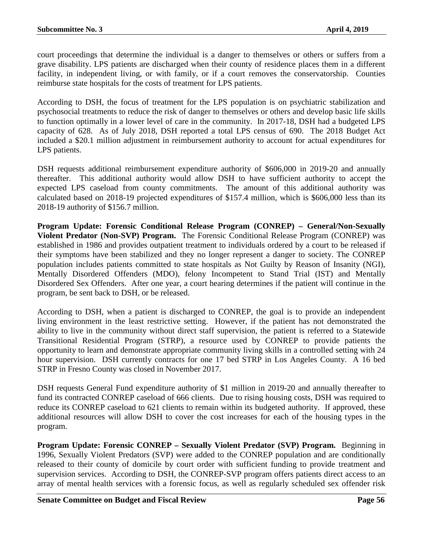court proceedings that determine the individual is a danger to themselves or others or suffers from a grave disability. LPS patients are discharged when their county of residence places them in a different facility, in independent living, or with family, or if a court removes the conservatorship. Counties reimburse state hospitals for the costs of treatment for LPS patients.

According to DSH, the focus of treatment for the LPS population is on psychiatric stabilization and psychosocial treatments to reduce the risk of danger to themselves or others and develop basic life skills to function optimally in a lower level of care in the community. In 2017-18, DSH had a budgeted LPS capacity of 628. As of July 2018, DSH reported a total LPS census of 690. The 2018 Budget Act included a \$20.1 million adjustment in reimbursement authority to account for actual expenditures for LPS patients.

DSH requests additional reimbursement expenditure authority of \$606,000 in 2019-20 and annually thereafter. This additional authority would allow DSH to have sufficient authority to accept the expected LPS caseload from county commitments. The amount of this additional authority was calculated based on 2018-19 projected expenditures of \$157.4 million, which is \$606,000 less than its 2018-19 authority of \$156.7 million.

**Program Update: Forensic Conditional Release Program (CONREP) – General/Non-Sexually Violent Predator (Non-SVP) Program.** The Forensic Conditional Release Program (CONREP) was established in 1986 and provides outpatient treatment to individuals ordered by a court to be released if their symptoms have been stabilized and they no longer represent a danger to society. The CONREP population includes patients committed to state hospitals as Not Guilty by Reason of Insanity (NGI), Mentally Disordered Offenders (MDO), felony Incompetent to Stand Trial (IST) and Mentally Disordered Sex Offenders. After one year, a court hearing determines if the patient will continue in the program, be sent back to DSH, or be released.

According to DSH, when a patient is discharged to CONREP, the goal is to provide an independent living environment in the least restrictive setting. However, if the patient has not demonstrated the ability to live in the community without direct staff supervision, the patient is referred to a Statewide Transitional Residential Program (STRP), a resource used by CONREP to provide patients the opportunity to learn and demonstrate appropriate community living skills in a controlled setting with 24 hour supervision. DSH currently contracts for one 17 bed STRP in Los Angeles County. A 16 bed STRP in Fresno County was closed in November 2017.

DSH requests General Fund expenditure authority of \$1 million in 2019-20 and annually thereafter to fund its contracted CONREP caseload of 666 clients. Due to rising housing costs, DSH was required to reduce its CONREP caseload to 621 clients to remain within its budgeted authority. If approved, these additional resources will allow DSH to cover the cost increases for each of the housing types in the program.

**Program Update: Forensic CONREP – Sexually Violent Predator (SVP) Program.** Beginning in 1996, Sexually Violent Predators (SVP) were added to the CONREP population and are conditionally released to their county of domicile by court order with sufficient funding to provide treatment and supervision services. According to DSH, the CONREP-SVP program offers patients direct access to an array of mental health services with a forensic focus, as well as regularly scheduled sex offender risk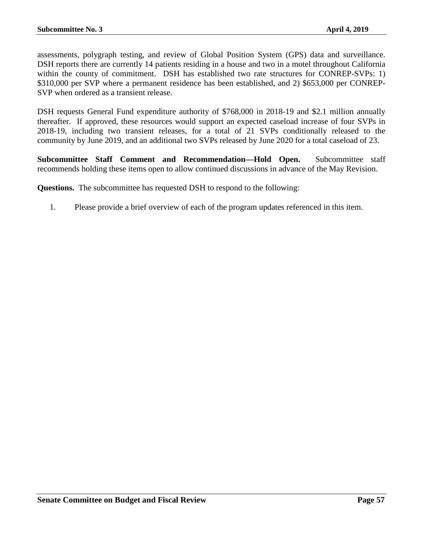assessments, polygraph testing, and review of Global Position System (GPS) data and surveillance. DSH reports there are currently 14 patients residing in a house and two in a motel throughout California within the county of commitment. DSH has established two rate structures for CONREP-SVPs: 1) \$310,000 per SVP where a permanent residence has been established, and 2) \$653,000 per CONREP-SVP when ordered as a transient release.

DSH requests General Fund expenditure authority of \$768,000 in 2018-19 and \$2.1 million annually thereafter. If approved, these resources would support an expected caseload increase of four SVPs in 2018-19, including two transient releases, for a total of 21 SVPs conditionally released to the community by June 2019, and an additional two SVPs released by June 2020 for a total caseload of 23.

**Subcommittee Staff Comment and Recommendation—Hold Open.** Subcommittee staff recommends holding these items open to allow continued discussions in advance of the May Revision.

**Questions.** The subcommittee has requested DSH to respond to the following:

1. Please provide a brief overview of each of the program updates referenced in this item.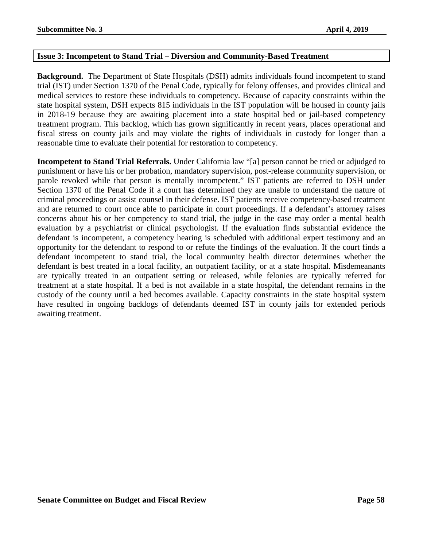# <span id="page-57-0"></span>**Issue 3: Incompetent to Stand Trial – Diversion and Community-Based Treatment**

**Background.** The Department of State Hospitals (DSH) admits individuals found incompetent to stand trial (IST) under Section 1370 of the Penal Code, typically for felony offenses, and provides clinical and medical services to restore these individuals to competency. Because of capacity constraints within the state hospital system, DSH expects 815 individuals in the IST population will be housed in county jails in 2018-19 because they are awaiting placement into a state hospital bed or jail-based competency treatment program. This backlog, which has grown significantly in recent years, places operational and fiscal stress on county jails and may violate the rights of individuals in custody for longer than a reasonable time to evaluate their potential for restoration to competency.

**Incompetent to Stand Trial Referrals.** Under California law "[a] person cannot be tried or adjudged to punishment or have his or her probation, mandatory supervision, post-release community supervision, or parole revoked while that person is mentally incompetent." IST patients are referred to DSH under Section 1370 of the Penal Code if a court has determined they are unable to understand the nature of criminal proceedings or assist counsel in their defense. IST patients receive competency-based treatment and are returned to court once able to participate in court proceedings. If a defendant's attorney raises concerns about his or her competency to stand trial, the judge in the case may order a mental health evaluation by a psychiatrist or clinical psychologist. If the evaluation finds substantial evidence the defendant is incompetent, a competency hearing is scheduled with additional expert testimony and an opportunity for the defendant to respond to or refute the findings of the evaluation. If the court finds a defendant incompetent to stand trial, the local community health director determines whether the defendant is best treated in a local facility, an outpatient facility, or at a state hospital. Misdemeanants are typically treated in an outpatient setting or released, while felonies are typically referred for treatment at a state hospital. If a bed is not available in a state hospital, the defendant remains in the custody of the county until a bed becomes available. Capacity constraints in the state hospital system have resulted in ongoing backlogs of defendants deemed IST in county jails for extended periods awaiting treatment.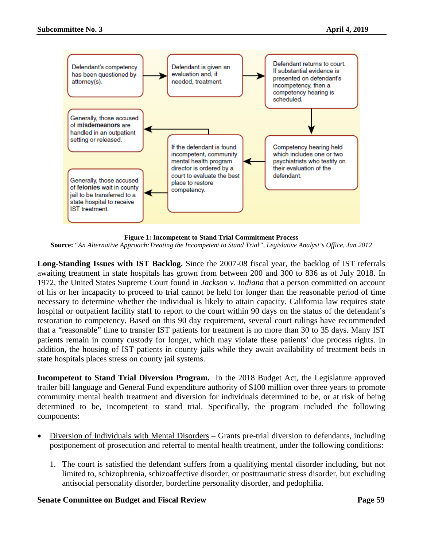

**Figure 1: Incompetent to Stand Trial Commitment Process**

**Source:** "*An Alternative Approach:Treating the Incompetent to Stand Trial", Legislative Analyst's Office, Jan 2012*

**Long-Standing Issues with IST Backlog.** Since the 2007-08 fiscal year, the backlog of IST referrals awaiting treatment in state hospitals has grown from between 200 and 300 to 836 as of July 2018. In 1972, the United States Supreme Court found in *Jackson v. Indiana* that a person committed on account of his or her incapacity to proceed to trial cannot be held for longer than the reasonable period of time necessary to determine whether the individual is likely to attain capacity. California law requires state hospital or outpatient facility staff to report to the court within 90 days on the status of the defendant's restoration to competency. Based on this 90 day requirement, several court rulings have recommended that a "reasonable" time to transfer IST patients for treatment is no more than 30 to 35 days. Many IST patients remain in county custody for longer, which may violate these patients' due process rights. In addition, the housing of IST patients in county jails while they await availability of treatment beds in state hospitals places stress on county jail systems.

**Incompetent to Stand Trial Diversion Program.** In the 2018 Budget Act, the Legislature approved trailer bill language and General Fund expenditure authority of \$100 million over three years to promote community mental health treatment and diversion for individuals determined to be, or at risk of being determined to be, incompetent to stand trial. Specifically, the program included the following components:

- Diversion of Individuals with Mental Disorders Grants pre-trial diversion to defendants, including postponement of prosecution and referral to mental health treatment, under the following conditions:
	- 1. The court is satisfied the defendant suffers from a qualifying mental disorder including, but not limited to, schizophrenia, schizoaffective disorder, or posttraumatic stress disorder, but excluding antisocial personality disorder, borderline personality disorder, and pedophilia.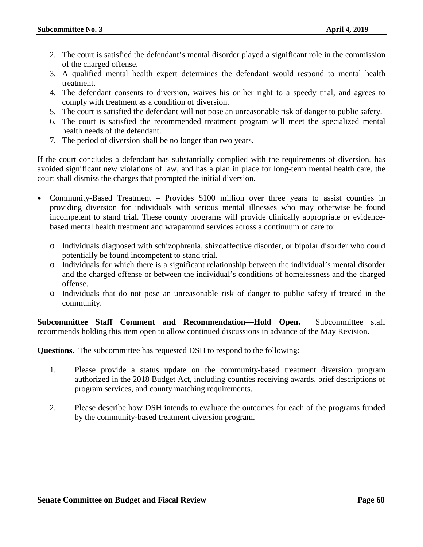- 2. The court is satisfied the defendant's mental disorder played a significant role in the commission of the charged offense.
- 3. A qualified mental health expert determines the defendant would respond to mental health treatment.
- 4. The defendant consents to diversion, waives his or her right to a speedy trial, and agrees to comply with treatment as a condition of diversion.
- 5. The court is satisfied the defendant will not pose an unreasonable risk of danger to public safety.
- 6. The court is satisfied the recommended treatment program will meet the specialized mental health needs of the defendant.
- 7. The period of diversion shall be no longer than two years.

If the court concludes a defendant has substantially complied with the requirements of diversion, has avoided significant new violations of law, and has a plan in place for long-term mental health care, the court shall dismiss the charges that prompted the initial diversion.

- Community-Based Treatment Provides \$100 million over three years to assist counties in providing diversion for individuals with serious mental illnesses who may otherwise be found incompetent to stand trial. These county programs will provide clinically appropriate or evidencebased mental health treatment and wraparound services across a continuum of care to:
	- o Individuals diagnosed with schizophrenia, shizoaffective disorder, or bipolar disorder who could potentially be found incompetent to stand trial.
	- o Individuals for which there is a significant relationship between the individual's mental disorder and the charged offense or between the individual's conditions of homelessness and the charged offense.
	- o Individuals that do not pose an unreasonable risk of danger to public safety if treated in the community.

**Subcommittee Staff Comment and Recommendation—Hold Open.** Subcommittee staff recommends holding this item open to allow continued discussions in advance of the May Revision.

**Questions.** The subcommittee has requested DSH to respond to the following:

- 1. Please provide a status update on the community-based treatment diversion program authorized in the 2018 Budget Act, including counties receiving awards, brief descriptions of program services, and county matching requirements.
- 2. Please describe how DSH intends to evaluate the outcomes for each of the programs funded by the community-based treatment diversion program.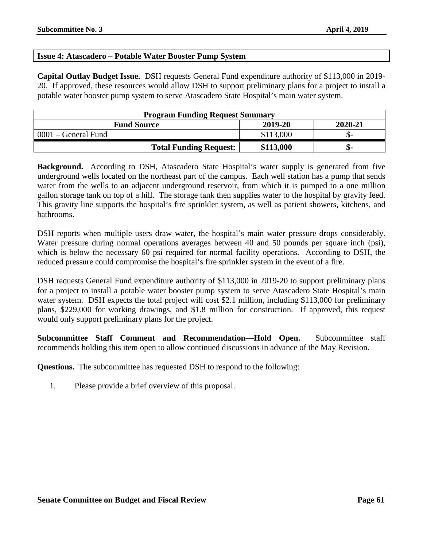# <span id="page-60-0"></span>**Issue 4: Atascadero – Potable Water Booster Pump System**

**Capital Outlay Budget Issue.** DSH requests General Fund expenditure authority of \$113,000 in 2019- 20. If approved, these resources would allow DSH to support preliminary plans for a project to install a potable water booster pump system to serve Atascadero State Hospital's main water system.

| <b>Program Funding Request Summary</b>   |           |     |  |  |
|------------------------------------------|-----------|-----|--|--|
| 2019-20<br>2020-21<br><b>Fund Source</b> |           |     |  |  |
| 0001 – General Fund                      | \$113,000 |     |  |  |
| <b>Total Funding Request:</b>            | \$113,000 | ת - |  |  |

**Background.** According to DSH, Atascadero State Hospital's water supply is generated from five underground wells located on the northeast part of the campus. Each well station has a pump that sends water from the wells to an adjacent underground reservoir, from which it is pumped to a one million gallon storage tank on top of a hill. The storage tank then supplies water to the hospital by gravity feed. This gravity line supports the hospital's fire sprinkler system, as well as patient showers, kitchens, and bathrooms.

DSH reports when multiple users draw water, the hospital's main water pressure drops considerably. Water pressure during normal operations averages between 40 and 50 pounds per square inch (psi), which is below the necessary 60 psi required for normal facility operations. According to DSH, the reduced pressure could compromise the hospital's fire sprinkler system in the event of a fire.

DSH requests General Fund expenditure authority of \$113,000 in 2019-20 to support preliminary plans for a project to install a potable water booster pump system to serve Atascadero State Hospital's main water system. DSH expects the total project will cost \$2.1 million, including \$113,000 for preliminary plans, \$229,000 for working drawings, and \$1.8 million for construction. If approved, this request would only support preliminary plans for the project.

**Subcommittee Staff Comment and Recommendation—Hold Open.** Subcommittee staff recommends holding this item open to allow continued discussions in advance of the May Revision.

**Questions.** The subcommittee has requested DSH to respond to the following:

1. Please provide a brief overview of this proposal.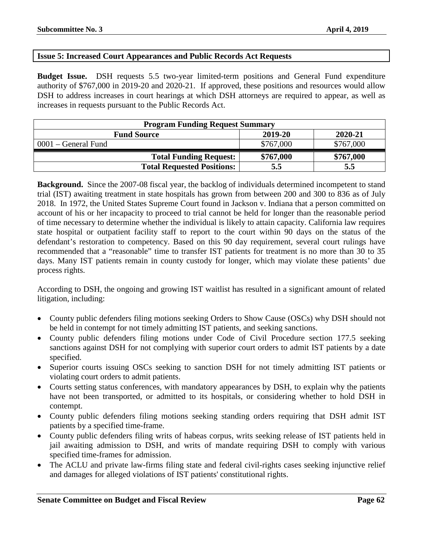# <span id="page-61-0"></span>**Issue 5: Increased Court Appearances and Public Records Act Requests**

**Budget Issue.** DSH requests 5.5 two-year limited-term positions and General Fund expenditure authority of \$767,000 in 2019-20 and 2020-21. If approved, these positions and resources would allow DSH to address increases in court hearings at which DSH attorneys are required to appear, as well as increases in requests pursuant to the Public Records Act.

| <b>Program Funding Request Summary</b>   |           |           |  |  |
|------------------------------------------|-----------|-----------|--|--|
| 2019-20<br>2020-21<br><b>Fund Source</b> |           |           |  |  |
| $0001$ – General Fund                    | \$767,000 | \$767,000 |  |  |
| <b>Total Funding Request:</b>            | \$767,000 | \$767,000 |  |  |
| <b>Total Requested Positions:</b>        | 5.5       | 5.5       |  |  |

**Background.** Since the 2007-08 fiscal year, the backlog of individuals determined incompetent to stand trial (IST) awaiting treatment in state hospitals has grown from between 200 and 300 to 836 as of July 2018. In 1972, the United States Supreme Court found in Jackson v. Indiana that a person committed on account of his or her incapacity to proceed to trial cannot be held for longer than the reasonable period of time necessary to determine whether the individual is likely to attain capacity. California law requires state hospital or outpatient facility staff to report to the court within 90 days on the status of the defendant's restoration to competency. Based on this 90 day requirement, several court rulings have recommended that a "reasonable" time to transfer IST patients for treatment is no more than 30 to 35 days. Many IST patients remain in county custody for longer, which may violate these patients' due process rights.

According to DSH, the ongoing and growing IST waitlist has resulted in a significant amount of related litigation, including:

- County public defenders filing motions seeking Orders to Show Cause (OSCs) why DSH should not be held in contempt for not timely admitting IST patients, and seeking sanctions.
- County public defenders filing motions under Code of Civil Procedure section 177.5 seeking sanctions against DSH for not complying with superior court orders to admit IST patients by a date specified.
- Superior courts issuing OSCs seeking to sanction DSH for not timely admitting IST patients or violating court orders to admit patients.
- Courts setting status conferences, with mandatory appearances by DSH, to explain why the patients have not been transported, or admitted to its hospitals, or considering whether to hold DSH in contempt.
- County public defenders filing motions seeking standing orders requiring that DSH admit IST patients by a specified time-frame.
- County public defenders filing writs of habeas corpus, writs seeking release of IST patients held in jail awaiting admission to DSH, and writs of mandate requiring DSH to comply with various specified time-frames for admission.
- The ACLU and private law-firms filing state and federal civil-rights cases seeking injunctive relief and damages for alleged violations of IST patients' constitutional rights.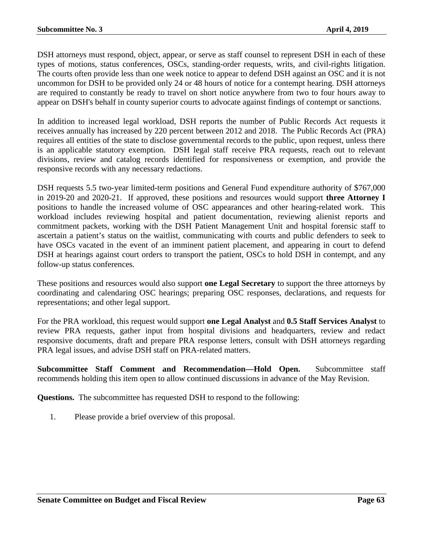DSH attorneys must respond, object, appear, or serve as staff counsel to represent DSH in each of these types of motions, status conferences, OSCs, standing-order requests, writs, and civil-rights litigation. The courts often provide less than one week notice to appear to defend DSH against an OSC and it is not uncommon for DSH to be provided only 24 or 48 hours of notice for a contempt hearing. DSH attorneys are required to constantly be ready to travel on short notice anywhere from two to four hours away to appear on DSH's behalf in county superior courts to advocate against findings of contempt or sanctions.

In addition to increased legal workload, DSH reports the number of Public Records Act requests it receives annually has increased by 220 percent between 2012 and 2018. The Public Records Act (PRA) requires all entities of the state to disclose governmental records to the public, upon request, unless there is an applicable statutory exemption. DSH legal staff receive PRA requests, reach out to relevant divisions, review and catalog records identified for responsiveness or exemption, and provide the responsive records with any necessary redactions.

DSH requests 5.5 two-year limited-term positions and General Fund expenditure authority of \$767,000 in 2019-20 and 2020-21. If approved, these positions and resources would support **three Attorney I**  positions to handle the increased volume of OSC appearances and other hearing-related work. This workload includes reviewing hospital and patient documentation, reviewing alienist reports and commitment packets, working with the DSH Patient Management Unit and hospital forensic staff to ascertain a patient's status on the waitlist, communicating with courts and public defenders to seek to have OSCs vacated in the event of an imminent patient placement, and appearing in court to defend DSH at hearings against court orders to transport the patient, OSCs to hold DSH in contempt, and any follow-up status conferences.

These positions and resources would also support **one Legal Secretary** to support the three attorneys by coordinating and calendaring OSC hearings; preparing OSC responses, declarations, and requests for representations; and other legal support.

For the PRA workload, this request would support **one Legal Analyst** and **0.5 Staff Services Analyst** to review PRA requests, gather input from hospital divisions and headquarters, review and redact responsive documents, draft and prepare PRA response letters, consult with DSH attorneys regarding PRA legal issues, and advise DSH staff on PRA-related matters.

**Subcommittee Staff Comment and Recommendation—Hold Open.** Subcommittee staff recommends holding this item open to allow continued discussions in advance of the May Revision.

**Questions.** The subcommittee has requested DSH to respond to the following:

1. Please provide a brief overview of this proposal.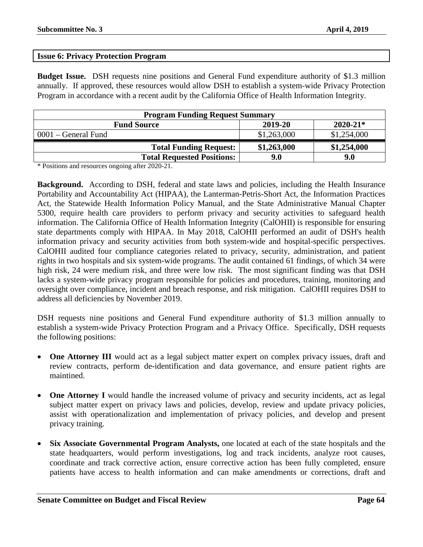# <span id="page-63-0"></span>**Issue 6: Privacy Protection Program**

**Budget Issue.** DSH requests nine positions and General Fund expenditure authority of \$1.3 million annually. If approved, these resources would allow DSH to establish a system-wide Privacy Protection Program in accordance with a recent audit by the California Office of Health Information Integrity.

| <b>Program Funding Request Summary</b>        |             |             |  |  |
|-----------------------------------------------|-------------|-------------|--|--|
| $2020 - 21*$<br>2019-20<br><b>Fund Source</b> |             |             |  |  |
| $0001$ – General Fund                         | \$1,263,000 | \$1,254,000 |  |  |
| <b>Total Funding Request:</b>                 | \$1,263,000 | \$1,254,000 |  |  |
| <b>Total Requested Positions:</b>             | 9.0         | 9.0         |  |  |

\* Positions and resources ongoing after 2020-21.

**Background.** According to DSH, federal and state laws and policies, including the Health Insurance Portability and Accountability Act (HIPAA), the Lanterman-Petris-Short Act, the Information Practices Act, the Statewide Health Information Policy Manual, and the State Administrative Manual Chapter 5300, require health care providers to perform privacy and security activities to safeguard health information. The California Office of Health Information Integrity (CalOHII) is responsible for ensuring state departments comply with HIPAA. In May 2018, CalOHII performed an audit of DSH's health information privacy and security activities from both system-wide and hospital-specific perspectives. CalOHII audited four compliance categories related to privacy, security, administration, and patient rights in two hospitals and six system-wide programs. The audit contained 61 findings, of which 34 were high risk, 24 were medium risk, and three were low risk. The most significant finding was that DSH lacks a system-wide privacy program responsible for policies and procedures, training, monitoring and oversight over compliance, incident and breach response, and risk mitigation. CalOHII requires DSH to address all deficiencies by November 2019.

DSH requests nine positions and General Fund expenditure authority of \$1.3 million annually to establish a system-wide Privacy Protection Program and a Privacy Office. Specifically, DSH requests the following positions:

- **One Attorney III** would act as a legal subject matter expert on complex privacy issues, draft and review contracts, perform de-identification and data governance, and ensure patient rights are maintined.
- **One Attorney I** would handle the increased volume of privacy and security incidents, act as legal subject matter expert on privacy laws and policies, develop, review and update privacy policies, assist with operationalization and implementation of privacy policies, and develop and present privacy training.
- **Six Associate Governmental Program Analysts,** one located at each of the state hospitals and the state headquarters, would perform investigations, log and track incidents, analyze root causes, coordinate and track corrective action, ensure corrective action has been fully completed, ensure patients have access to health information and can make amendments or corrections, draft and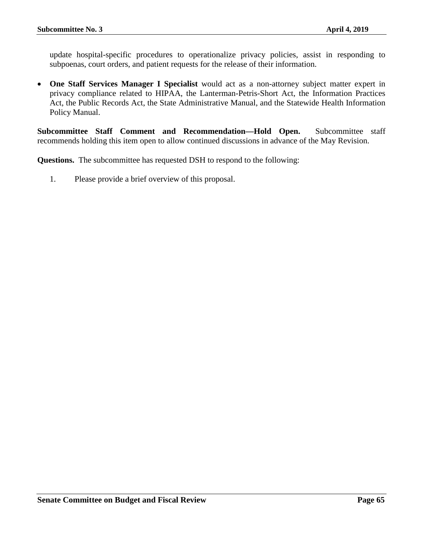update hospital-specific procedures to operationalize privacy policies, assist in responding to subpoenas, court orders, and patient requests for the release of their information.

• **One Staff Services Manager I Specialist** would act as a non-attorney subject matter expert in privacy compliance related to HIPAA, the Lanterman-Petris-Short Act, the Information Practices Act, the Public Records Act, the State Administrative Manual, and the Statewide Health Information Policy Manual.

**Subcommittee Staff Comment and Recommendation—Hold Open.** Subcommittee staff recommends holding this item open to allow continued discussions in advance of the May Revision.

**Questions.** The subcommittee has requested DSH to respond to the following:

1. Please provide a brief overview of this proposal.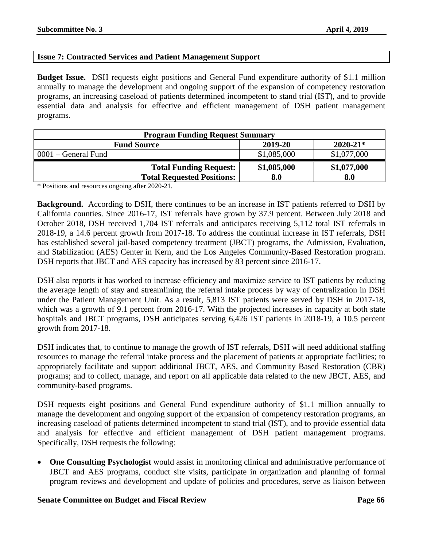# <span id="page-65-0"></span>**Issue 7: Contracted Services and Patient Management Support**

**Budget Issue.** DSH requests eight positions and General Fund expenditure authority of \$1.1 million annually to manage the development and ongoing support of the expansion of competency restoration programs, an increasing caseload of patients determined incompetent to stand trial (IST), and to provide essential data and analysis for effective and efficient management of DSH patient management programs.

| <b>Program Funding Request Summary</b>        |             |             |  |  |
|-----------------------------------------------|-------------|-------------|--|--|
| $2020 - 21*$<br>2019-20<br><b>Fund Source</b> |             |             |  |  |
| $0001$ – General Fund                         | \$1,085,000 | \$1,077,000 |  |  |
| <b>Total Funding Request:</b>                 | \$1,085,000 | \$1,077,000 |  |  |
| <b>Total Requested Positions:</b>             | 8.0         | 8.0         |  |  |

\* Positions and resources ongoing after 2020-21.

**Background.** According to DSH, there continues to be an increase in IST patients referred to DSH by California counties. Since 2016-17, IST referrals have grown by 37.9 percent. Between July 2018 and October 2018, DSH received 1,704 IST referrals and anticipates receiving 5,112 total IST referrals in 2018-19, a 14.6 percent growth from 2017-18. To address the continual increase in IST referrals, DSH has established several jail-based competency treatment (JBCT) programs, the Admission, Evaluation, and Stabilization (AES) Center in Kern, and the Los Angeles Community-Based Restoration program. DSH reports that JBCT and AES capacity has increased by 83 percent since 2016-17.

DSH also reports it has worked to increase efficiency and maximize service to IST patients by reducing the average length of stay and streamlining the referral intake process by way of centralization in DSH under the Patient Management Unit. As a result, 5,813 IST patients were served by DSH in 2017-18, which was a growth of 9.1 percent from 2016-17. With the projected increases in capacity at both state hospitals and JBCT programs, DSH anticipates serving 6,426 IST patients in 2018-19, a 10.5 percent growth from 2017-18.

DSH indicates that, to continue to manage the growth of IST referrals, DSH will need additional staffing resources to manage the referral intake process and the placement of patients at appropriate facilities; to appropriately facilitate and support additional JBCT, AES, and Community Based Restoration (CBR) programs; and to collect, manage, and report on all applicable data related to the new JBCT, AES, and community-based programs.

DSH requests eight positions and General Fund expenditure authority of \$1.1 million annually to manage the development and ongoing support of the expansion of competency restoration programs, an increasing caseload of patients determined incompetent to stand trial (IST), and to provide essential data and analysis for effective and efficient management of DSH patient management programs. Specifically, DSH requests the following:

• **One Consulting Psychologist** would assist in monitoring clinical and administrative performance of JBCT and AES programs, conduct site visits, participate in organization and planning of formal program reviews and development and update of policies and procedures, serve as liaison between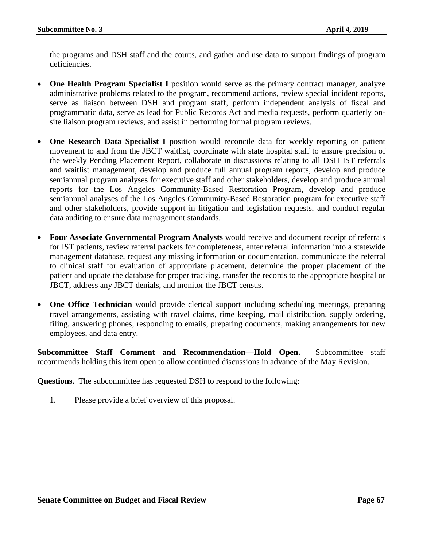the programs and DSH staff and the courts, and gather and use data to support findings of program deficiencies.

- **One Health Program Specialist I** position would serve as the primary contract manager, analyze administrative problems related to the program, recommend actions, review special incident reports, serve as liaison between DSH and program staff, perform independent analysis of fiscal and programmatic data, serve as lead for Public Records Act and media requests, perform quarterly onsite liaison program reviews, and assist in performing formal program reviews.
- **One Research Data Specialist I** position would reconcile data for weekly reporting on patient movement to and from the JBCT waitlist, coordinate with state hospital staff to ensure precision of the weekly Pending Placement Report, collaborate in discussions relating to all DSH IST referrals and waitlist management, develop and produce full annual program reports, develop and produce semiannual program analyses for executive staff and other stakeholders, develop and produce annual reports for the Los Angeles Community-Based Restoration Program, develop and produce semiannual analyses of the Los Angeles Community-Based Restoration program for executive staff and other stakeholders, provide support in litigation and legislation requests, and conduct regular data auditing to ensure data management standards.
- **Four Associate Governmental Program Analysts** would receive and document receipt of referrals for IST patients, review referral packets for completeness, enter referral information into a statewide management database, request any missing information or documentation, communicate the referral to clinical staff for evaluation of appropriate placement, determine the proper placement of the patient and update the database for proper tracking, transfer the records to the appropriate hospital or JBCT, address any JBCT denials, and monitor the JBCT census.
- **One Office Technician** would provide clerical support including scheduling meetings, preparing travel arrangements, assisting with travel claims, time keeping, mail distribution, supply ordering, filing, answering phones, responding to emails, preparing documents, making arrangements for new employees, and data entry.

**Subcommittee Staff Comment and Recommendation—Hold Open.** Subcommittee staff recommends holding this item open to allow continued discussions in advance of the May Revision.

**Questions.** The subcommittee has requested DSH to respond to the following:

1. Please provide a brief overview of this proposal.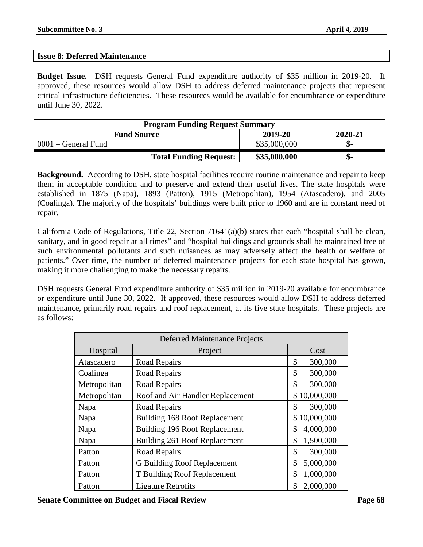# <span id="page-67-0"></span>**Issue 8: Deferred Maintenance**

**Budget Issue.** DSH requests General Fund expenditure authority of \$35 million in 2019-20. If approved, these resources would allow DSH to address deferred maintenance projects that represent critical infrastructure deficiencies. These resources would be available for encumbrance or expenditure until June 30, 2022.

| <b>Program Funding Request Summary</b>   |              |    |  |  |
|------------------------------------------|--------------|----|--|--|
| 2019-20<br>2020-21<br><b>Fund Source</b> |              |    |  |  |
| $0001$ – General Fund                    | \$35,000,000 |    |  |  |
| <b>Total Funding Request:</b>            | \$35,000,000 | ক- |  |  |

**Background.** According to DSH, state hospital facilities require routine maintenance and repair to keep them in acceptable condition and to preserve and extend their useful lives. The state hospitals were established in 1875 (Napa), 1893 (Patton), 1915 (Metropolitan), 1954 (Atascadero), and 2005 (Coalinga). The majority of the hospitals' buildings were built prior to 1960 and are in constant need of repair.

California Code of Regulations, Title 22, Section 71641(a)(b) states that each "hospital shall be clean, sanitary, and in good repair at all times" and "hospital buildings and grounds shall be maintained free of such environmental pollutants and such nuisances as may adversely affect the health or welfare of patients." Over time, the number of deferred maintenance projects for each state hospital has grown, making it more challenging to make the necessary repairs.

DSH requests General Fund expenditure authority of \$35 million in 2019-20 available for encumbrance or expenditure until June 30, 2022. If approved, these resources would allow DSH to address deferred maintenance, primarily road repairs and roof replacement, at its five state hospitals. These projects are as follows:

| <b>Deferred Maintenance Projects</b> |                                  |                 |
|--------------------------------------|----------------------------------|-----------------|
| Hospital                             | Project                          | Cost            |
| Atascadero                           | Road Repairs                     | \$<br>300,000   |
| Coalinga                             | Road Repairs                     | 300,000<br>\$   |
| Metropolitan                         | Road Repairs                     | \$<br>300,000   |
| Metropolitan                         | Roof and Air Handler Replacement | \$10,000,000    |
| Napa                                 | Road Repairs                     | 300,000<br>\$   |
| Napa                                 | Building 168 Roof Replacement    | \$10,000,000    |
| Napa                                 | Building 196 Roof Replacement    | 4,000,000<br>\$ |
| Napa                                 | Building 261 Roof Replacement    | \$<br>1,500,000 |
| Patton                               | Road Repairs                     | \$<br>300,000   |
| Patton                               | G Building Roof Replacement      | \$<br>5,000,000 |
| Patton                               | T Building Roof Replacement      | 1,000,000<br>\$ |
| Patton                               | <b>Ligature Retrofits</b>        | 2,000,000<br>\$ |

**Senate Committee on Budget and Fiscal Review Page 68**